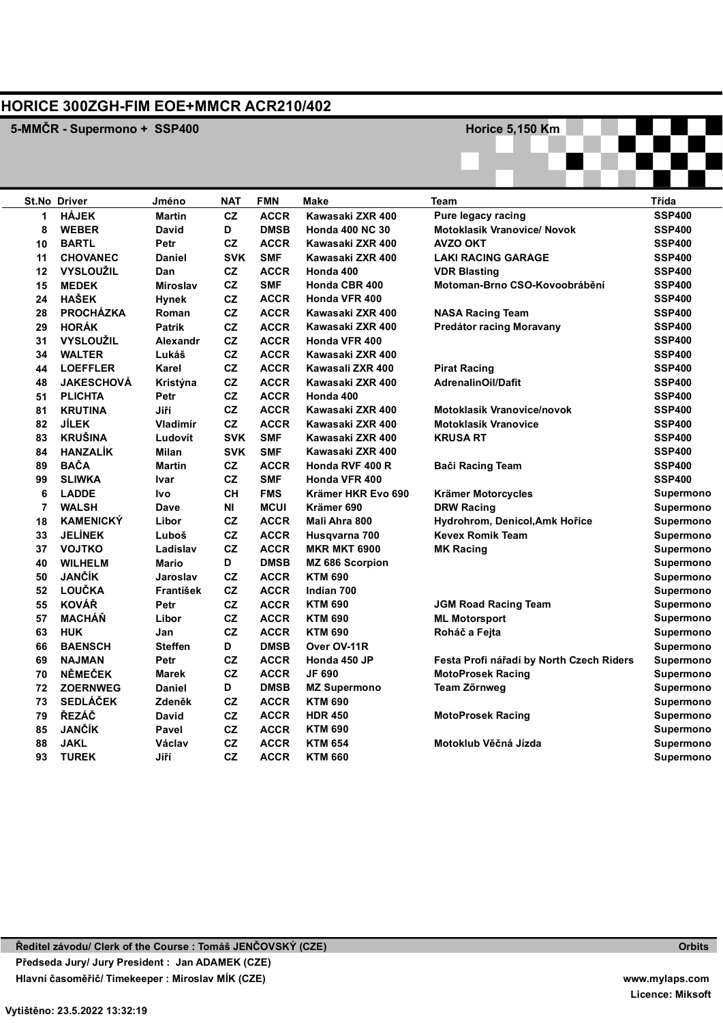## **HORICE 300ZGH-FIM EOE+MMCR ACR210/402**

**5-MMČR - Supermono + SSP400 And Construction Construction Construction Construction Construction Construction Construction Construction Construction Construction Construction Construction Construction Construction Const** 

|         | St.No Driver      | Jméno           | <b>NAT</b> | <b>FMN</b>  | Make                   | <b>Team</b>                              | Třída         |
|---------|-------------------|-----------------|------------|-------------|------------------------|------------------------------------------|---------------|
| 1       | <b>HÁJEK</b>      | <b>Martin</b>   | <b>CZ</b>  | <b>ACCR</b> | Kawasaki ZXR 400       | Pure legacy racing                       | <b>SSP400</b> |
| 8       | <b>WEBER</b>      | <b>David</b>    | D          | <b>DMSB</b> | <b>Honda 400 NC 30</b> | <b>Motoklasik Vranovice/ Novok</b>       | <b>SSP400</b> |
| 10      | <b>BARTL</b>      | Petr            | CZ         | <b>ACCR</b> | Kawasaki ZXR 400       | <b>AVZO OKT</b>                          | <b>SSP400</b> |
| 11      | <b>CHOVANEC</b>   | <b>Daniel</b>   | <b>SVK</b> | <b>SMF</b>  | Kawasaki ZXR 400       | <b>LAKI RACING GARAGE</b>                | <b>SSP400</b> |
| $12 \,$ | <b>VYSLOUŽIL</b>  | Dan             | CZ         | <b>ACCR</b> | Honda 400              | <b>VDR Blasting</b>                      | <b>SSP400</b> |
| 15      | <b>MEDEK</b>      | <b>Miroslav</b> | CZ         | <b>SMF</b>  | Honda CBR 400          | Motoman-Brno CSO-Kovoobrábění            | <b>SSP400</b> |
| 24      | <b>HAŠEK</b>      | <b>Hynek</b>    | CZ         | <b>ACCR</b> | <b>Honda VFR 400</b>   |                                          | <b>SSP400</b> |
| 28      | <b>PROCHÁZKA</b>  | Roman           | CZ         | <b>ACCR</b> | Kawasaki ZXR 400       | <b>NASA Racing Team</b>                  | <b>SSP400</b> |
| 29      | <b>HORÁK</b>      | <b>Patrik</b>   | CZ         | <b>ACCR</b> | Kawasaki ZXR 400       | Predátor racing Moravany                 | <b>SSP400</b> |
| 31      | <b>VYSLOUŽIL</b>  | Alexandr        | CZ         | <b>ACCR</b> | Honda VFR 400          |                                          | <b>SSP400</b> |
| 34      | <b>WALTER</b>     | Lukáš           | CZ         | <b>ACCR</b> | Kawasaki ZXR 400       |                                          | <b>SSP400</b> |
| 44      | <b>LOEFFLER</b>   | Karel           | CZ         | <b>ACCR</b> | Kawasali ZXR 400       | <b>Pirat Racing</b>                      | <b>SSP400</b> |
| 48      | <b>JAKESCHOVÁ</b> | Kristýna        | CZ         | <b>ACCR</b> | Kawasaki ZXR 400       | <b>AdrenalinOil/Dafit</b>                | <b>SSP400</b> |
| 51      | <b>PLICHTA</b>    | Petr            | CZ         | <b>ACCR</b> | Honda 400              |                                          | <b>SSP400</b> |
| 81      | <b>KRUTINA</b>    | Jiří            | CZ         | <b>ACCR</b> | Kawasaki ZXR 400       | <b>Motoklasik Vranovice/novok</b>        | <b>SSP400</b> |
| 82      | <b>JÍLEK</b>      | Vladimír        | CZ         | <b>ACCR</b> | Kawasaki ZXR 400       | <b>Motoklasik Vranovice</b>              | <b>SSP400</b> |
| 83      | <b>KRUŠINA</b>    | Ludovít         | <b>SVK</b> | <b>SMF</b>  | Kawasaki ZXR 400       | <b>KRUSA RT</b>                          | <b>SSP400</b> |
| 84      | <b>HANZALÍK</b>   | Milan           | <b>SVK</b> | <b>SMF</b>  | Kawasaki ZXR 400       |                                          | <b>SSP400</b> |
| 89      | <b>BAČA</b>       | Martin          | CZ         | <b>ACCR</b> | Honda RVF 400 R        | <b>Bači Racing Team</b>                  | <b>SSP400</b> |
| 99      | <b>SLIWKA</b>     | Ivar            | CZ         | <b>SMF</b>  | Honda VFR 400          |                                          | <b>SSP400</b> |
| 6       | <b>LADDE</b>      | <b>Ivo</b>      | <b>CH</b>  | <b>FMS</b>  | Krämer HKR Evo 690     | Krämer Motorcycles                       | Supermono     |
| 7       | <b>WALSH</b>      | Dave            | ΝI         | <b>MCUI</b> | Krämer 690             | <b>DRW Racing</b>                        | Supermono     |
| 18      | <b>KAMENICKÝ</b>  | Libor           | CZ         | <b>ACCR</b> | Mali Ahra 800          | Hydrohrom, Denicol, Amk Hořice           | Supermono     |
| 33      | <b>JELÍNEK</b>    | Luboš           | CZ         | <b>ACCR</b> | Husgvarna 700          | <b>Kevex Romik Team</b>                  | Supermono     |
| 37      | <b>VOJTKO</b>     | Ladislav        | CZ         | <b>ACCR</b> | <b>MKR MKT 6900</b>    | <b>MK Racing</b>                         | Supermono     |
| 40      | <b>WILHELM</b>    | Mario           | D          | <b>DMSB</b> | MZ 686 Scorpion        |                                          | Supermono     |
| 50      | <b>JANČÍK</b>     | Jaroslav        | CZ         | <b>ACCR</b> | <b>KTM 690</b>         |                                          | Supermono     |
| 52      | LOUČKA            | František       | CZ         | <b>ACCR</b> | Indian 700             |                                          | Supermono     |
| 55      | <b>KOVÁŘ</b>      | Petr            | CZ         | <b>ACCR</b> | <b>KTM 690</b>         | <b>JGM Road Racing Team</b>              | Supermono     |
| 57      | <b>MACHÁŇ</b>     | Libor           | CZ         | <b>ACCR</b> | <b>KTM 690</b>         | <b>ML Motorsport</b>                     | Supermono     |
| 63      | <b>HUK</b>        | Jan             | CZ         | <b>ACCR</b> | <b>KTM 690</b>         | Roháč a Fejta                            | Supermono     |
| 66      | <b>BAENSCH</b>    | <b>Steffen</b>  | D          | <b>DMSB</b> | Over OV-11R            |                                          | Supermono     |
| 69      | <b>NAJMAN</b>     | Petr            | CZ         | <b>ACCR</b> | Honda 450 JP           | Festa Profi nářadí by North Czech Riders | Supermono     |
| 70      | <b>NĚMEČEK</b>    | <b>Marek</b>    | CZ         | <b>ACCR</b> | <b>JF 690</b>          | <b>MotoProsek Racing</b>                 | Supermono     |
| 72      | <b>ZOERNWEG</b>   | Daniel          | D          | <b>DMSB</b> | <b>MZ Supermono</b>    | Team Zőrnweg                             | Supermono     |
| 73      | <b>SEDLÁČEK</b>   | Zdeněk          | CZ         | <b>ACCR</b> | <b>KTM 690</b>         |                                          | Supermono     |
| 79      | ŘEZÁČ             | David           | CZ         | <b>ACCR</b> | <b>HDR 450</b>         | <b>MotoProsek Racing</b>                 | Supermono     |
| 85      | <b>JANČÍK</b>     | Pavel           | CZ         | <b>ACCR</b> | <b>KTM 690</b>         |                                          | Supermono     |
| 88      | <b>JAKL</b>       | Václav          | CZ         | <b>ACCR</b> | <b>KTM 654</b>         | Motoklub Věčná Jízda                     | Supermono     |
| 93      | <b>TUREK</b>      | Jiří            | CZ         | <b>ACCR</b> | <b>KTM 660</b>         |                                          | Supermono     |
|         |                   |                 |            |             |                        |                                          |               |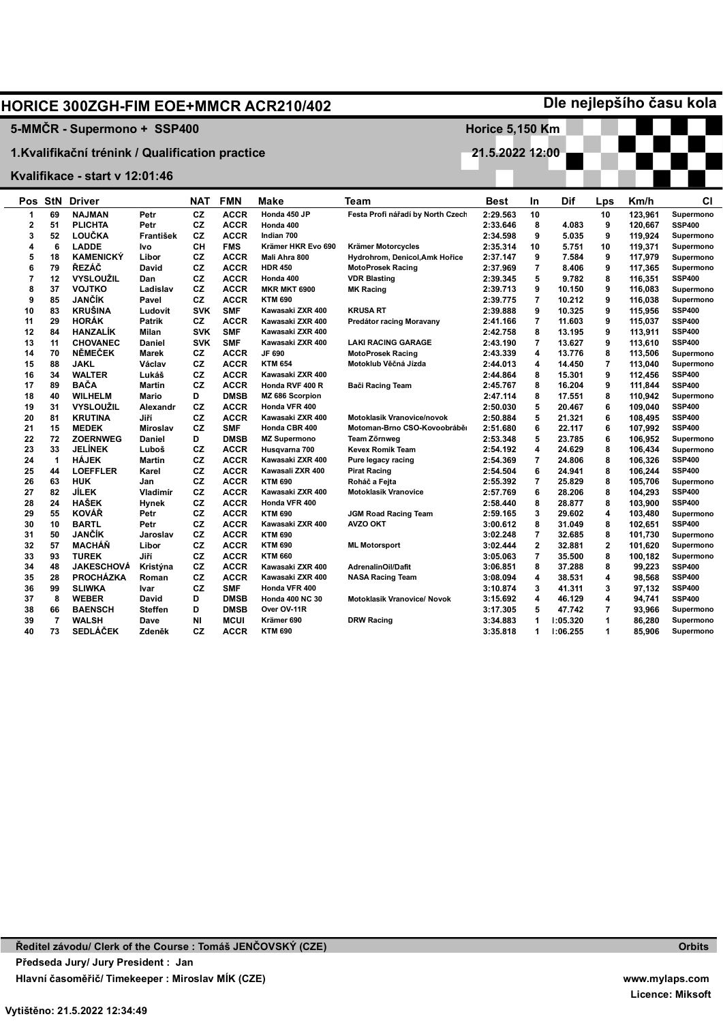|                |                |                                                  |                         |                 |                            | <b>HORICE 300ZGH-FIM EOE+MMCR ACR210/402</b> |                                    |                        |                      |                  |                         |                  | Dle nejlepšího času kola       |
|----------------|----------------|--------------------------------------------------|-------------------------|-----------------|----------------------------|----------------------------------------------|------------------------------------|------------------------|----------------------|------------------|-------------------------|------------------|--------------------------------|
|                |                | 5-MMČR - Supermono + SSP400                      |                         |                 |                            |                                              |                                    | <b>Horice 5,150 Km</b> |                      |                  |                         |                  |                                |
|                |                |                                                  |                         |                 |                            |                                              |                                    |                        |                      |                  |                         |                  |                                |
|                |                | 1. Kvalifikační trénink / Qualification practice |                         |                 |                            |                                              |                                    | 21.5.2022 12:00        |                      |                  |                         |                  |                                |
|                |                | Kvalifikace - start v 12:01:46                   |                         |                 |                            |                                              |                                    |                        |                      |                  |                         |                  |                                |
|                |                |                                                  |                         |                 |                            |                                              |                                    |                        |                      |                  |                         |                  |                                |
|                |                | <b>Pos StN Driver</b>                            |                         | <b>NAT</b>      | <b>FMN</b>                 | Make                                         | <b>Team</b>                        | Best                   | In                   | Dif              | Lps                     | Km/h             | СI                             |
| 1              | 69             | <b>NAJMAN</b>                                    | Petr                    | <b>CZ</b>       | <b>ACCR</b>                | Honda 450 JP                                 | Festa Profi nářadí by North Czech  | 2:29.563               | 10                   |                  | 10                      | 123,961          | Supermono                      |
| $\overline{2}$ | 51             | <b>PLICHTA</b>                                   | Petr                    | <b>CZ</b>       | <b>ACCR</b>                | Honda 400                                    |                                    | 2:33.646               | 8                    | 4.083            | 9                       | 120,667          | <b>SSP400</b>                  |
| 3              | 52             | LOUČKA                                           | František               | <b>CZ</b>       | <b>ACCR</b>                | Indian 700                                   |                                    | 2:34.598               | 9                    | 5.035            | 9                       | 119,924          | Supermono                      |
| 4              | 6              | <b>LADDE</b>                                     | Ivo                     | CН              | <b>FMS</b>                 | Krämer HKR Evo 690                           | Krämer Motorcycles                 | 2:35.314               | 10                   | 5.751            | 10                      | 119,371          | Supermono                      |
| 5              | 18             | <b>KAMENICKÝ</b>                                 | Libor                   | <b>CZ</b>       | <b>ACCR</b>                | Mali Ahra 800                                | Hydrohrom, Denicol, Amk Hořice     | 2:37.147               | 9                    | 7.584            | 9                       | 117,979          | Supermono                      |
| 6              | 79             | ŘEZÁČ                                            | David                   | <b>CZ</b>       | <b>ACCR</b>                | <b>HDR 450</b>                               | <b>MotoProsek Racing</b>           | 2:37.969               | $\overline{7}$       | 8.406            | 9                       | 117,365          | Supermono                      |
| $\overline{7}$ | 12             | <b>VYSLOUŽIL</b>                                 | Dan                     | <b>CZ</b>       | <b>ACCR</b>                | Honda 400                                    | <b>VDR Blasting</b>                | 2:39.345               | 5                    | 9.782            | 8                       | 116,351          | <b>SSP400</b>                  |
| 8              | 37             | <b>VOJTKO</b>                                    | Ladislav                | CZ              | <b>ACCR</b>                | <b>MKR MKT 6900</b>                          | <b>MK Racing</b>                   | 2:39.713               | 9                    | 10.150           | 9                       | 116,083          | Supermono                      |
| 9              | 85             | <b>JANČÍK</b>                                    | Pavel                   | CZ              | <b>ACCR</b>                | <b>KTM 690</b>                               |                                    | 2:39.775               | $\overline{7}$       | 10.212           | 9                       | 116,038          | Supermono                      |
| 10             | 83             | <b>KRUŠINA</b>                                   | Ludovít                 | <b>SVK</b>      | <b>SMF</b>                 | Kawasaki ZXR 400                             | <b>KRUSA RT</b>                    | 2:39.888               | 9                    | 10.325           | 9                       | 115,956          | <b>SSP400</b>                  |
| 11             | 29             | <b>HORÁK</b>                                     | <b>Patrik</b>           | <b>CZ</b>       | <b>ACCR</b>                | Kawasaki ZXR 400                             | Predátor racing Moravany           | 2:41.166               | $\overline{7}$       | 11.603           | 9                       | 115,037          | <b>SSP400</b>                  |
| 12             | 84             | <b>HANZALÍK</b>                                  | Milan                   | <b>SVK</b>      | <b>SMF</b>                 | Kawasaki ZXR 400                             |                                    | 2:42.758               | 8                    | 13.195           | 9                       | 113,911          | <b>SSP400</b>                  |
| 13             | 11             | <b>CHOVANEC</b>                                  | Daniel                  | <b>SVK</b>      | <b>SMF</b>                 | Kawasaki ZXR 400                             | <b>LAKI RACING GARAGE</b>          | 2:43.190               | $\overline{7}$       | 13.627           | 9                       | 113,610          | <b>SSP400</b>                  |
| 14             | 70             | <b>NĚMEČEK</b>                                   | Marek                   | <b>CZ</b>       | <b>ACCR</b>                | JF 690                                       | <b>MotoProsek Racing</b>           | 2:43.339               | $\overline{4}$       | 13.776           | 8                       | 113,506          | Supermono                      |
| 15             | 88             | <b>JAKL</b>                                      | Václav                  | <b>CZ</b>       | <b>ACCR</b>                | <b>KTM 654</b>                               | Motoklub Věčná Jízda               | 2:44.013               | 4                    | 14.450           | 7                       | 113,040          | Supermono                      |
| 16             | 34             | <b>WALTER</b>                                    | Lukáš                   | <b>CZ</b>       | <b>ACCR</b>                | Kawasaki ZXR 400                             |                                    | 2:44.864               | 8                    | 15.301           | 9                       | 112,456          | <b>SSP400</b>                  |
| 17             | 89             | <b>BAČA</b>                                      | <b>Martin</b>           | <b>CZ</b>       | <b>ACCR</b>                | Honda RVF 400 R                              | Bači Racing Team                   | 2:45.767               | 8                    | 16.204           | 9                       | 111,844          | <b>SSP400</b>                  |
| 18             | 40             | <b>WILHELM</b>                                   | Mario                   | D               | <b>DMSB</b>                | MZ 686 Scorpion                              |                                    | 2:47.114               | 8                    | 17.551           | 8                       | 110,942          | Supermono                      |
| 19             | 31             | <b>VYSLOUŽIL</b>                                 | Alexandr                | <b>CZ</b>       | <b>ACCR</b>                | Honda VFR 400                                |                                    | 2:50.030               | 5                    | 20.467           | 6                       | 109,040          | <b>SSP400</b>                  |
| 20             | 81             | <b>KRUTINA</b>                                   | Jiří                    | CZ              | <b>ACCR</b>                | Kawasaki ZXR 400                             | <b>Motoklasik Vranovice/novok</b>  | 2:50.884               | 5                    | 21.321           | 6                       | 108,495          | <b>SSP400</b>                  |
| 21             | 15             | <b>MEDEK</b>                                     | <b>Miroslav</b>         | CZ              | <b>SMF</b>                 | Honda CBR 400                                | Motoman-Brno CSO-Kovoobrábě        | 2:51.680               | 6                    | 22.117           | 6                       | 107,992          | <b>SSP400</b>                  |
| 22             | 72             | <b>ZOERNWEG</b>                                  | <b>Daniel</b>           | D               | <b>DMSB</b>                | <b>MZ Supermono</b>                          | <b>Team Zörnweg</b>                | 2:53.348               | 5                    | 23.785           | 6                       | 106,952          | Supermono                      |
| 23             | 33             | <b>JELÍNEK</b>                                   | Luboš                   | <b>CZ</b>       | <b>ACCR</b>                | Husqvarna 700                                | <b>Kevex Romik Team</b>            | 2:54.192               | $\overline{4}$       | 24.629           | 8                       | 106,434          | Supermono                      |
| 24             | $\mathbf{1}$   | <b>HÁJEK</b>                                     | <b>Martin</b>           | <b>CZ</b>       | <b>ACCR</b>                | Kawasaki ZXR 400                             | Pure legacy racing                 | 2:54.369               | $\overline{7}$       | 24.806           | 8                       | 106,326          | <b>SSP400</b>                  |
| 25             | 44             | <b>LOEFFLER</b>                                  | Karel                   | CZ              | <b>ACCR</b>                | Kawasali ZXR 400                             | <b>Pirat Racing</b>                | 2:54.504               | 6                    | 24.941           | 8                       | 106.244          | <b>SSP400</b>                  |
| 26             | 63             | <b>HUK</b>                                       | Jan                     | <b>CZ</b>       | <b>ACCR</b>                | <b>KTM 690</b>                               | Roháč a Fejta                      | 2:55.392               | $\overline{7}$       | 25.829           | 8                       | 105.706          | Supermono                      |
| 27             | 82             | JÍLEK                                            | Vladimír                | CZ              | <b>ACCR</b>                | Kawasaki ZXR 400                             | <b>Motoklasik Vranovice</b>        | 2:57.769               | 6                    | 28.206           | 8                       | 104,293          | <b>SSP400</b>                  |
| 28             | 24             | <b>HAŠEK</b>                                     | Hynek                   | CZ              | <b>ACCR</b>                | Honda VFR 400                                |                                    | 2:58.440               | 8                    | 28.877           | 8                       | 103,900          | <b>SSP400</b>                  |
| 29             | 55             | <b>KOVÁŘ</b>                                     | Petr                    | CZ              | <b>ACCR</b>                | <b>KTM 690</b>                               | <b>JGM Road Racing Team</b>        | 2:59.165               | 3                    | 29.602           | 4                       | 103,480          | Supermono                      |
| 30             | 10             | <b>BARTL</b>                                     | Petr                    | <b>CZ</b>       | <b>ACCR</b>                | Kawasaki ZXR 400                             | <b>AVZO OKT</b>                    | 3:00.612               | 8                    | 31.049           | 8                       | 102,651          | <b>SSP400</b>                  |
| 31             | 50             | JANČÍK                                           | Jaroslav                | CZ              | <b>ACCR</b>                | <b>KTM 690</b>                               |                                    | 3:02.248               | $\overline{7}$       | 32.685           | 8                       | 101,730          | Supermono                      |
| 32             | 57             | <b>MACHÁN</b>                                    | Libor                   | CZ              | <b>ACCR</b>                | <b>KTM 690</b>                               | <b>ML Motorsport</b>               | 3:02.444               | $\mathbf{2}$         | 32.881           | $\overline{\mathbf{2}}$ | 101,620          | Supermono                      |
| 33             | 93             | <b>TUREK</b>                                     | Jiří                    | CZ              | <b>ACCR</b>                | <b>KTM 660</b>                               |                                    | 3:05.063               | $\overline{7}$       | 35.500           | 8                       | 100,182          | Supermono                      |
| 34<br>35       | 48<br>28       | <b>JAKESCHOVÁ</b><br><b>PROCHÁZKA</b>            | Kristýna                | CZ<br><b>CZ</b> | <b>ACCR</b><br><b>ACCR</b> | Kawasaki ZXR 400<br>Kawasaki ZXR 400         | AdrenalinOil/Dafit                 | 3:06.851               | 8<br>4               | 37.288<br>38.531 | 8<br>4                  | 99.223           | <b>SSP400</b><br><b>SSP400</b> |
|                | 99             |                                                  | Roman                   | CZ              | <b>SMF</b>                 |                                              | <b>NASA Racing Team</b>            | 3:08.094               | 3                    |                  | 3                       | 98,568           |                                |
| 36             | 8              | <b>SLIWKA</b>                                    | Ivar                    | D               | <b>DMSB</b>                | Honda VFR 400                                |                                    | 3:10.874               | $\overline{4}$       | 41.311           |                         | 97,132           | <b>SSP400</b>                  |
| 37<br>38       | 66             | <b>WEBER</b><br><b>BAENSCH</b>                   | David<br><b>Steffen</b> | D               | <b>DMSB</b>                | <b>Honda 400 NC 30</b><br>Over OV-11R        | <b>Motoklasik Vranovice/ Novok</b> | 3:15.692               | 5                    | 46.129<br>47.742 | 4<br>7                  | 94,741           | <b>SSP400</b>                  |
| 39             | $\overline{7}$ | <b>WALSH</b>                                     | Dave                    | NI              | <b>MCUI</b>                | Krämer 690                                   | <b>DRW Racing</b>                  | 3:17.305<br>3:34.883   | $\blacktriangleleft$ | 1:05.320         | 1                       | 93,966<br>86.280 | Supermono<br>Supermono         |
| 40             | 73             | <b>SEDLÁČEK</b>                                  | Zdeněk                  | CZ              | <b>ACCR</b>                | <b>KTM 690</b>                               |                                    |                        | $\blacktriangleleft$ | 1:06.255         | 1                       | 85.906           | Supermono                      |
|                |                |                                                  |                         |                 |                            |                                              |                                    | 3:35.818               |                      |                  |                         |                  |                                |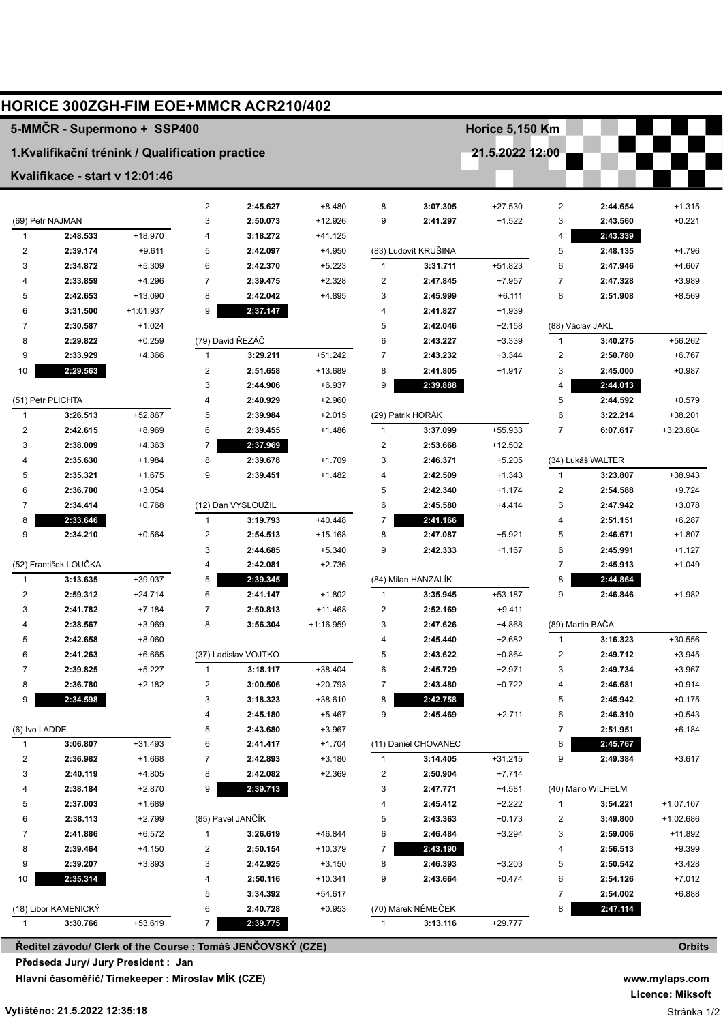|                         | HORICE 300ZGH-FIM EOE+MMCR ACR210/402                            |           |                         |                      |             |                |                      |                        |                |                    |               |
|-------------------------|------------------------------------------------------------------|-----------|-------------------------|----------------------|-------------|----------------|----------------------|------------------------|----------------|--------------------|---------------|
|                         | 5-MMČR - Supermono + SSP400                                      |           |                         |                      |             |                |                      | <b>Horice 5,150 Km</b> |                |                    |               |
|                         | 1. Kvalifikační trénink / Qualification practice                 |           |                         |                      |             |                |                      | 21.5.2022 12:00        |                |                    |               |
|                         | Kvalifikace - start v 12:01:46                                   |           |                         |                      |             |                |                      |                        |                |                    |               |
|                         |                                                                  |           | $\overline{2}$          | 2:45.627             | $+8.480$    | 8              | 3:07.305             | $+27.530$              | $\overline{c}$ | 2:44.654           | $+1.315$      |
|                         | (69) Petr NAJMAN                                                 |           | 3                       | 2:50.073             | $+12.926$   | 9              | 2:41.297             | $+1.522$               | 3              | 2:43.560           | $+0.221$      |
| $\mathbf{1}$            | 2:48.533                                                         | +18.970   | $\overline{4}$          | 3:18.272             | $+41.125$   |                |                      |                        | 4              | 2:43.339           |               |
| $\overline{\mathbf{c}}$ | 2:39.174                                                         | $+9.611$  | 5                       | 2:42.097             | $+4.950$    |                | (83) Ludovít KRUŠINA |                        | 5              | 2:48.135           | $+4.796$      |
| 3                       | 2:34.872                                                         | $+5.309$  | 6                       | 2:42.370             | $+5.223$    | 1              | 3:31.711             | +51.823                | 6              | 2:47.946           | $+4.607$      |
| 4                       | 2:33.859                                                         | $+4.296$  | $\overline{7}$          | 2:39.475             | $+2.328$    | 2              | 2:47.845             | $+7.957$               | 7              | 2:47.328           | +3.989        |
| 5                       | 2:42.653                                                         | $+13.090$ | 8                       | 2:42.042             | $+4.895$    | 3              | 2:45.999             | $+6.111$               | 8              | 2:51.908           | $+8.569$      |
| 6                       | 3:31.500                                                         | +1:01.937 | 9                       | 2:37.147             |             | 4              | 2:41.827             | $+1.939$               |                |                    |               |
| $\overline{7}$          | 2:30.587                                                         | $+1.024$  |                         |                      |             | 5              | 2:42.046             | $+2.158$               |                | (88) Václav JAKL   |               |
| 8                       | 2:29.822                                                         | $+0.259$  |                         | (79) David ŘEZÁČ     |             | 6              | 2:43.227             | $+3.339$               | $\mathbf{1}$   | 3:40.275           | +56.262       |
| 9                       | 2:33.929                                                         | $+4.366$  | $\mathbf{1}$            | 3:29.211             | $+51.242$   | 7              | 2:43.232             | $+3.344$               | $\overline{c}$ | 2:50.780           | $+6.767$      |
| 10                      | 2:29.563                                                         |           | $\boldsymbol{2}$        | 2:51.658             | +13.689     | 8              | 2:41.805             | $+1.917$               | 3              | 2:45.000           | $+0.987$      |
|                         |                                                                  |           | 3                       | 2:44.906             | $+6.937$    | 9              | 2:39.888             |                        | 4              | 2:44.013           |               |
|                         | (51) Petr PLICHTA                                                |           | 4                       | 2:40.929             | $+2.960$    |                |                      |                        | 5              | 2:44.592           | $+0.579$      |
| $\mathbf{1}$            | 3:26.513                                                         | +52.867   | 5                       | 2:39.984             | $+2.015$    |                | (29) Patrik HORÁK    |                        | 6              | 3:22.214           | +38.201       |
| $\overline{\mathbf{c}}$ | 2:42.615                                                         | $+8.969$  | 6                       | 2:39.455             | $+1.486$    | $\mathbf{1}$   | 3:37.099             | +55.933                | $\overline{7}$ | 6:07.617           | +3:23.604     |
| 3                       | 2:38.009                                                         | $+4.363$  | $\overline{7}$          | 2:37.969             |             | $\overline{2}$ | 2:53.668             | $+12.502$              |                |                    |               |
| 4                       | 2:35.630                                                         | $+1.984$  | 8                       | 2:39.678             | $+1.709$    | 3              | 2:46.371             | $+5.205$               |                | (34) Lukáš WALTER  |               |
| 5                       | 2:35.321                                                         | $+1.675$  | 9                       | 2:39.451             | $+1.482$    | 4              | 2:42.509             | $+1.343$               | $\mathbf{1}$   | 3:23.807           | +38.943       |
| 6                       | 2:36.700                                                         | $+3.054$  |                         |                      |             | 5              | 2:42.340             | $+1.174$               | 2              | 2:54.588           | $+9.724$      |
| 7                       | 2:34.414                                                         | $+0.768$  |                         | (12) Dan VYSLOUŽIL   |             | 6              | 2:45.580             | $+4.414$               | 3              | 2:47.942           | $+3.078$      |
| 8                       | 2:33.646                                                         |           | $\mathbf{1}$            | 3:19.793             | $+40.448$   | 7              | 2:41.166             |                        | 4              | 2:51.151           | $+6.287$      |
| 9                       | 2:34.210                                                         | $+0.564$  | $\overline{\mathbf{c}}$ | 2:54.513             | $+15.168$   | 8              | 2:47.087             | $+5.921$               | 5              | 2:46.671           | $+1.807$      |
|                         |                                                                  |           | 3                       | 2:44.685             | $+5.340$    | 9              | 2:42.333             | $+1.167$               | 6              | 2:45.991           | $+1.127$      |
|                         | (52) František LOUČKA                                            |           | 4                       | 2:42.081             | $+2.736$    |                |                      |                        | $\overline{7}$ | 2:45.913           | $+1.049$      |
| 1                       | 3:13.635                                                         | $+39.037$ | 5                       | 2:39.345             |             |                | (84) Milan HANZALÍK  |                        | 8              | 2:44.864           |               |
| $\overline{\mathbf{c}}$ | 2:59.312                                                         | $+24.714$ | 6                       | 2:41.147             | $+1.802$    | $\mathbf{1}$   | 3:35.945             | $+53.187$              | 9              | 2:46.846           | $+1.982$      |
| 3                       | 2:41.782                                                         | $+7.184$  | $\overline{7}$          | 2:50.813             | +11.468     | 2              | 2:52.169             | $+9.411$               |                |                    |               |
| 4                       | 2:38.567                                                         | $+3.969$  | 8                       | 3:56.304             | $+1:16.959$ | 3              | 2:47.626             | +4.868                 |                | (89) Martin BAČA   |               |
| 5                       | 2:42.658                                                         | $+8.060$  |                         |                      |             | 4              | 2:45.440             | $+2.682$               |                | 3:16.323           | +30.556       |
| 6                       | 2:41.263                                                         | $+6.665$  |                         | (37) Ladislav VOJTKO |             | 5              | 2:43.622             | $+0.864$               | 2              | 2:49.712           | $+3.945$      |
| 7                       | 2:39.825                                                         | $+5.227$  | $\mathbf{1}$            | 3:18.117             | +38.404     | 6              | 2:45.729             | $+2.971$               | 3              | 2:49.734           | $+3.967$      |
| 8                       | 2:36.780                                                         | $+2.182$  | $\overline{\mathbf{c}}$ | 3:00.506             | +20.793     | 7              | 2:43.480             | $+0.722$               | 4              | 2:46.681           | $+0.914$      |
| 9                       | 2:34.598                                                         |           | 3                       | 3:18.323             | +38.610     | 8              | 2:42.758             |                        | 5              | 2:45.942           | $+0.175$      |
|                         |                                                                  |           | 4                       | 2:45.180             | $+5.467$    | 9              | 2:45.469             | $+2.711$               | 6              | 2:46.310           | $+0.543$      |
| (6) Ivo LADDE           |                                                                  |           | 5                       | 2:43.680             | $+3.967$    |                |                      |                        | 7              | 2:51.951           | $+6.184$      |
| 1                       | 3:06.807                                                         | +31.493   | 6                       | 2:41.417             | $+1.704$    |                | (11) Daniel CHOVANEC |                        | 8              | 2:45.767           |               |
| 2                       | 2:36.982                                                         | $+1.668$  | $\overline{7}$          | 2:42.893             | $+3.180$    |                | 3:14.405             | $+31.215$              | 9              | 2:49.384           | $+3.617$      |
| 3                       | 2:40.119                                                         | +4.805    | 8                       | 2:42.082             | $+2.369$    | 2              | 2:50.904             | $+7.714$               |                |                    |               |
| 4                       | 2:38.184                                                         | $+2.870$  | 9                       | 2:39.713             |             | 3              | 2:47.771             | $+4.581$               |                | (40) Mario WILHELM |               |
| 5                       | 2:37.003                                                         | $+1.689$  |                         |                      |             | 4              | 2:45.412             | $+2.222$               | 1              | 3:54.221           | $+1:07.107$   |
| 6                       | 2:38.113                                                         | $+2.799$  |                         | (85) Pavel JANČÍK    |             | 5              | 2:43.363             | $+0.173$               | 2              | 3:49.800           | +1:02.686     |
| 7                       | 2:41.886                                                         | $+6.572$  | 1                       | 3:26.619             | +46.844     | 6              | 2:46.484             | $+3.294$               | 3              | 2:59.006           | +11.892       |
| 8                       | 2:39.464                                                         | $+4.150$  | 2                       | 2:50.154             | +10.379     | 7              | 2:43.190             |                        | 4              | 2:56.513           | $+9.399$      |
| 9                       | 2:39.207                                                         | $+3.893$  | 3                       | 2:42.925             | $+3.150$    | 8              | 2:46.393             | $+3.203$               | 5              | 2:50.542           | $+3.428$      |
| 10                      | 2:35.314                                                         |           | 4                       | 2:50.116             | $+10.341$   | 9              | 2:43.664             | $+0.474$               | 6              | 2:54.126           | $+7.012$      |
|                         |                                                                  |           | 5                       | 3:34.392             | $+54.617$   |                |                      |                        | 7              | 2:54.002           | $+6.888$      |
|                         | (18) Libor KAMENICKÝ                                             |           | 6                       | 2:40.728             | $+0.953$    |                | (70) Marek NĚMEČEK   |                        | 8              | 2:47.114           |               |
| 1                       | 3:13.116<br>3:30.766<br>+53.619<br>7<br>2:39.775<br>+29.777<br>1 |           |                         |                      |             |                |                      |                        |                |                    |               |
|                         | Ředitel závodu/ Clerk of the Course : Tomáš JENČOVSKÝ (CZE)      |           |                         |                      |             |                |                      |                        |                |                    | <b>Orbits</b> |

**Předseda Jury/ Jury President : Jan ADÁMEK (CZE)**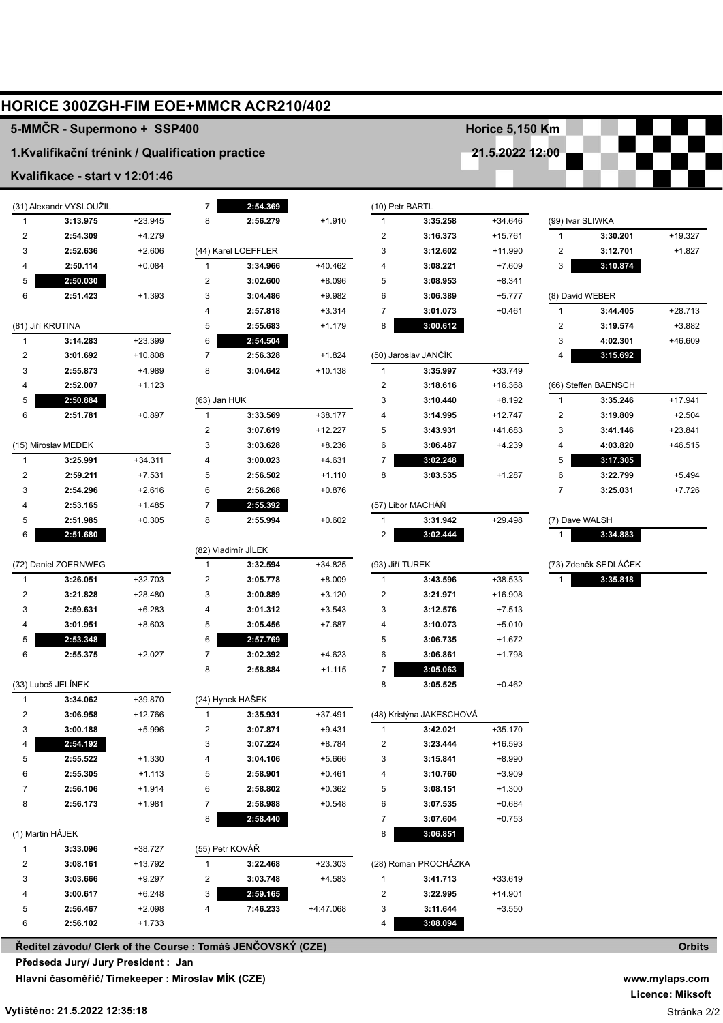|                  | <b>HORICE 300ZGH-FIM EOE+MMCR ACR210/402</b>     |                      |                |                      |                      |                                 |                          |                      |                  |                      |           |
|------------------|--------------------------------------------------|----------------------|----------------|----------------------|----------------------|---------------------------------|--------------------------|----------------------|------------------|----------------------|-----------|
|                  | 5-MMČR - Supermono + SSP400                      |                      |                |                      |                      |                                 |                          | Horice 5,150 Km      |                  |                      |           |
|                  | 1. Kvalifikační trénink / Qualification practice |                      |                |                      |                      |                                 |                          | 21.5.2022 12:00      |                  |                      |           |
|                  | Kvalifikace - start v 12:01:46                   |                      |                |                      |                      |                                 |                          |                      |                  |                      |           |
|                  | (31) Alexandr VYSLOUŽIL                          |                      | $\overline{7}$ |                      |                      |                                 |                          |                      |                  |                      |           |
| $\mathbf{1}$     | 3:13.975                                         | $+23.945$            | 8              | 2:54.369<br>2:56.279 | $+1.910$             | (10) Petr BARTL<br>$\mathbf{1}$ | 3:35.258                 | $+34.646$            | (99) Ivar SLIWKA |                      |           |
| 2                | 2:54.309                                         | $+4.279$             |                |                      |                      | 2                               | 3:16.373                 | $+15.761$            | $\mathbf{1}$     | 3:30.201             | $+19.327$ |
| 3                | 2:52.636                                         | $+2.606$             |                | (44) Karel LOEFFLER  |                      | 3                               | 3:12.602                 | +11.990              | $\overline{c}$   | 3:12.701             | $+1.827$  |
| 4                | 2:50.114                                         | $+0.084$             | $\mathbf{1}$   | 3:34.966             | $+40.462$            | 4                               | 3:08.221                 | $+7.609$             | 3                | 3:10.874             |           |
| 5                | 2:50.030                                         |                      | 2              | 3:02.600             | $+8.096$             | 5                               | 3:08.953                 | $+8.341$             |                  |                      |           |
| 6                | 2:51.423                                         | $+1.393$             | 3              | 3:04.486             | $+9.982$             | 6                               | 3:06.389                 | $+5.777$             |                  | (8) David WEBER      |           |
|                  |                                                  |                      | 4              | 2:57.818             | $+3.314$             | 7                               | 3:01.073                 | $+0.461$             | $\mathbf{1}$     | 3:44.405             | $+28.713$ |
|                  | (81) Jiří KRUTINA                                |                      | 5              | 2:55.683             | $+1.179$             | 8                               | 3:00.612                 |                      | 2                | 3:19.574             | $+3.882$  |
| $\mathbf{1}$     | 3:14.283                                         | $+23.399$            | 6              | 2:54.504             |                      |                                 |                          |                      | 3                | 4:02.301             | +46.609   |
| 2                | 3:01.692                                         | $+10.808$            | $\overline{7}$ | 2:56.328             | $+1.824$             |                                 | (50) Jaroslav JANČÍK     |                      | 4                | 3:15.692             |           |
| 3                | 2:55.873                                         | +4.989               | 8              | 3:04.642             | $+10.138$            | 1                               | 3:35.997                 | $+33.749$            |                  |                      |           |
| 4                | 2:52.007                                         | $+1.123$             |                |                      |                      | 2                               | 3:18.616                 | +16.368              |                  | (66) Steffen BAENSCH |           |
| 5                | 2:50.884                                         |                      | (63) Jan HUK   |                      |                      | 3                               | 3:10.440                 | $+8.192$             | $\mathbf{1}$     | 3:35.246             | $+17.941$ |
| 6                | 2:51.781                                         | $+0.897$             | $\mathbf{1}$   | 3:33.569             | $+38.177$            | 4                               | 3:14.995                 | $+12.747$            | $\overline{c}$   | 3:19.809             | $+2.504$  |
|                  |                                                  |                      | 2              | 3:07.619             | $+12.227$            | 5                               | 3:43.931                 | +41.683              | 3                | 3:41.146             | $+23.841$ |
|                  | (15) Miroslav MEDEK                              |                      | 3              | 3:03.628             | $+8.236$             | 6                               | 3:06.487                 | $+4.239$             | 4                | 4:03.820             | +46.515   |
| 1                | 3:25.991                                         | $+34.311$            | 4              | 3:00.023             | $+4.631$             | 7                               | 3:02.248                 |                      | 5                | 3:17.305             |           |
| 2                | 2:59.211                                         | $+7.531$             | 5              | 2:56.502             | $+1.110$             | 8                               | 3:03.535                 | $+1.287$             | 6                | 3:22.799             | $+5.494$  |
| 3                | 2:54.296                                         | $+2.616$             | 6              | 2:56.268             | $+0.876$             |                                 |                          |                      | $\overline{7}$   | 3:25.031             | $+7.726$  |
| 4                | 2:53.165                                         | $+1.485$             | $\overline{7}$ | 2:55.392             |                      |                                 | (57) Libor MACHÁŇ        |                      |                  |                      |           |
| 5                | 2:51.985                                         | $+0.305$             | 8              | 2:55.994             | $+0.602$             | 1                               | 3:31.942                 | $+29.498$            | (7) Dave WALSH   |                      |           |
| 6                | 2:51.680                                         |                      |                |                      |                      | 2                               | 3:02.444                 |                      | 1                | 3:34.883             |           |
|                  |                                                  |                      |                | (82) Vladimír JÍLEK  |                      |                                 |                          |                      |                  |                      |           |
|                  | (72) Daniel ZOERNWEG                             |                      | $\mathbf{1}$   | 3:32.594             | $+34.825$            | (93) Jiří TUREK                 |                          |                      |                  | (73) Zdeněk SEDLÁČEK |           |
| $\mathbf{1}$     | 3:26.051                                         | $+32.703$            | 2              | 3:05.778             | $+8.009$             | 1                               | 3:43.596                 | +38.533              | 1                | 3:35.818             |           |
| 2                | 3:21.828                                         | $+28.480$            | 3              | 3:00.889             | $+3.120$             | 2                               | 3:21.971                 | +16.908              |                  |                      |           |
| 3<br>4           | 2:59.631<br>3:01.951                             | $+6.283$<br>$+8.603$ | 4<br>5         | 3:01.312<br>3:05.456 | $+3.543$<br>$+7.687$ | 3<br>4                          | 3:12.576<br>3:10.073     | $+7.513$<br>$+5.010$ |                  |                      |           |
| 5                | 2:53.348                                         |                      |                | 2:57.769             |                      | 5                               | 3:06.735                 | $+1.672$             |                  |                      |           |
| 6                | 2:55.375                                         | $+2.027$             | 6<br>7         | 3:02.392             | $+4.623$             | 6                               | 3:06.861                 | $+1.798$             |                  |                      |           |
|                  |                                                  |                      | 8              | 2:58.884             | $+1.115$             | 7                               | 3:05.063                 |                      |                  |                      |           |
|                  | (33) Luboš JELÍNEK                               |                      |                |                      |                      | 8                               | 3:05.525                 | $+0.462$             |                  |                      |           |
| 1                | 3:34.062                                         | +39.870              |                | (24) Hynek HAŠEK     |                      |                                 |                          |                      |                  |                      |           |
| 2                | 3:06.958                                         | $+12.766$            | 1              | 3:35.931             | +37.491              |                                 | (48) Kristýna JAKESCHOVÁ |                      |                  |                      |           |
| 3                | 3:00.188                                         | $+5.996$             | 2              | 3:07.871             | $+9.431$             | 1                               | 3:42.021                 | +35.170              |                  |                      |           |
| 4                | 2:54.192                                         |                      | 3              | 3:07.224             | $+8.784$             | 2                               | 3:23.444                 | $+16.593$            |                  |                      |           |
| 5                | 2:55.522                                         | $+1.330$             | 4              | 3:04.106             | $+5.666$             | 3                               | 3:15.841                 | $+8.990$             |                  |                      |           |
| 6                | 2:55.305                                         | $+1.113$             | 5              | 2:58.901             | $+0.461$             | 4                               | 3:10.760                 | $+3.909$             |                  |                      |           |
| 7                | 2:56.106                                         | $+1.914$             | 6              | 2:58.802             | $+0.362$             | 5                               | 3:08.151                 | $+1.300$             |                  |                      |           |
| 8                | 2:56.173                                         | $+1.981$             | $\overline{7}$ | 2:58.988             | $+0.548$             | 6                               | 3:07.535                 | $+0.684$             |                  |                      |           |
|                  |                                                  |                      | 8              | 2:58.440             |                      | 7                               | 3:07.604                 | $+0.753$             |                  |                      |           |
| (1) Martin HÁJEK |                                                  |                      |                |                      |                      | 8                               | 3:06.851                 |                      |                  |                      |           |
| 1                | 3:33.096                                         | +38.727              |                | (55) Petr KOVÁŘ      |                      |                                 |                          |                      |                  |                      |           |
| 2                | 3:08.161                                         | +13.792              | 1              | 3:22.468             | $+23.303$            |                                 | (28) Roman PROCHÁZKA     |                      |                  |                      |           |
| 3                | 3:03.666                                         | $+9.297$             | 2              | 3:03.748             | $+4.583$             | 1                               | 3:41.713                 | +33.619              |                  |                      |           |
| 4                | 3:00.617                                         | $+6.248$             | 3              | 2:59.165             |                      | 2                               | 3:22.995                 | $+14.901$            |                  |                      |           |
| 5                | 2:56.467                                         | $+2.098$             | 4              | 7:46.233             | +4:47.068            | 3                               | 3:11.644                 | $+3.550$             |                  |                      |           |
| 6                | 2:56.102                                         | $+1.733$             |                |                      |                      | 4                               | 3:08.094                 |                      |                  |                      |           |

**Ředitel závodu/ Clerk of the Course : Tomáš JENČOVSKÝ (CZE) Předseda Jury/ Jury President : Jan ADÁMEK (CZE)**

**Hlavní časoměřič/ Timekeeper : Miroslav MÍK (CZE)**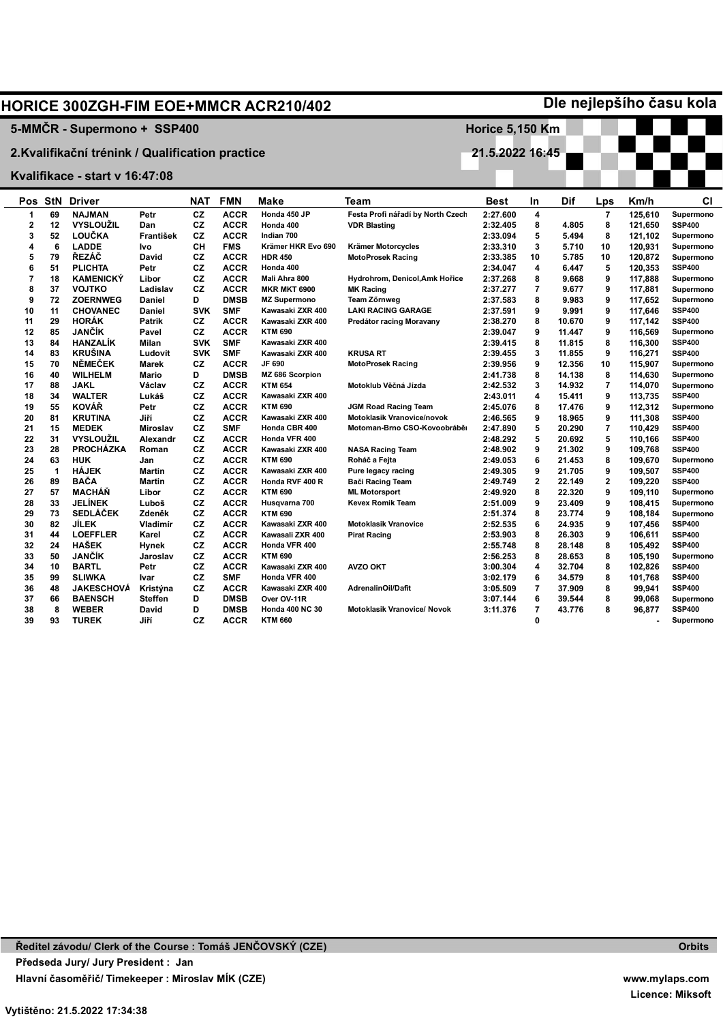|                |              |                                                  |                 |            |             | <b>HORICE 300ZGH-FIM EOE+MMCR ACR210/402</b> |                                                  |                        |                         |                |     |                    | Dle nejlepšího času kola   |
|----------------|--------------|--------------------------------------------------|-----------------|------------|-------------|----------------------------------------------|--------------------------------------------------|------------------------|-------------------------|----------------|-----|--------------------|----------------------------|
|                |              | 5-MMČR - Supermono + SSP400                      |                 |            |             |                                              |                                                  | <b>Horice 5,150 Km</b> |                         |                |     |                    |                            |
|                |              |                                                  |                 |            |             |                                              |                                                  | 21.5.2022 16:45        |                         |                |     |                    |                            |
|                |              | 2. Kvalifikační trénink / Qualification practice |                 |            |             |                                              |                                                  |                        |                         |                |     |                    |                            |
|                |              | Kvalifikace - start v 16:47:08                   |                 |            |             |                                              |                                                  |                        |                         |                |     |                    |                            |
| Pos            |              | <b>StN Driver</b>                                |                 | NAT        | <b>FMN</b>  | Make                                         | Team                                             | Best                   | In                      | Dif            | Lps | Km/h               | СI                         |
| 1              | 69           | <b>NAJMAN</b>                                    | Petr            | CZ         | <b>ACCR</b> | Honda 450 JP                                 | Festa Profi nářadí by North Czech                | 2:27.600               | 4                       |                | 7   | 125,610            | Supermono                  |
| $\overline{2}$ | 12           | <b>VYSLOUŽIL</b>                                 | Dan             | <b>CZ</b>  | <b>ACCR</b> | Honda 400                                    | <b>VDR Blasting</b>                              | 2:32.405               | 8                       | 4.805          | 8   | 121,650            | <b>SSP400</b>              |
| 3              | 52           | <b>LOUČKA</b>                                    | František       | <b>CZ</b>  | <b>ACCR</b> | Indian 700                                   |                                                  | 2:33.094               | 5                       | 5.494          | 8   | 121,102            | Supermono                  |
| 4              | 6            | <b>LADDE</b>                                     | Ivo             | CН         | <b>FMS</b>  | Krämer HKR Evo 690                           | Krämer Motorcycles                               | 2:33.310               | 3                       | 5.710          | 10  | 120,931            | Supermono                  |
| 5              | 79           | ŘEZÁČ                                            | <b>David</b>    | CZ         | <b>ACCR</b> | <b>HDR 450</b>                               | <b>MotoProsek Racing</b>                         | 2:33.385               | 10                      | 5.785          | 10  | 120,872            | Supermono                  |
| 6              | 51           | <b>PLICHTA</b>                                   | Petr            | CZ         | <b>ACCR</b> | Honda 400                                    |                                                  | 2:34.047               | $\overline{\mathbf{4}}$ | 6.447          | 5   | 120,353            | <b>SSP400</b>              |
| $\overline{7}$ | 18           | <b>KAMENICKÝ</b>                                 | Libor           | <b>CZ</b>  | <b>ACCR</b> | Mali Ahra 800                                | Hydrohrom, Denicol, Amk Hořice                   | 2:37.268               | 8                       | 9.668          | 9   | 117,888            | Supermono                  |
| 8              | 37           | <b>VOJTKO</b>                                    | Ladislav        | CZ         | <b>ACCR</b> | <b>MKR MKT 6900</b>                          |                                                  | 2:37.277               | $\overline{7}$          | 9.677          | 9   | 117,881            |                            |
| 9              | 72           | <b>ZOERNWEG</b>                                  | <b>Daniel</b>   | D          | <b>DMSB</b> |                                              | <b>MK Racing</b>                                 |                        | 8                       |                | 9   |                    | Supermono                  |
| 10             | 11           | <b>CHOVANEC</b>                                  | Daniel          | <b>SVK</b> | <b>SMF</b>  | <b>MZ Supermono</b><br>Kawasaki ZXR 400      | <b>Team Zőrnweg</b><br><b>LAKI RACING GARAGE</b> | 2:37.583<br>2:37.591   | 9                       | 9.983<br>9.991 | 9   | 117,652<br>117,646 | Supermono<br><b>SSP400</b> |
| 11             | 29           | <b>HORÁK</b>                                     | <b>Patrik</b>   | <b>CZ</b>  | <b>ACCR</b> | Kawasaki ZXR 400                             | Predátor racing Moravany                         | 2:38.270               | 8                       | 10.670         | 9   |                    | <b>SSP400</b>              |
| 12             | 85           | JANČÍK                                           | Pavel           | CZ         | <b>ACCR</b> | <b>KTM 690</b>                               |                                                  | 2:39.047               | 9                       |                | 9   | 117,142            |                            |
| 13             | 84           | <b>HANZALIK</b>                                  |                 | <b>SVK</b> | <b>SMF</b>  |                                              |                                                  |                        | 8                       | 11.447         | 8   | 116,569            | Supermono                  |
|                |              | <b>KRUŠINA</b>                                   | Milan           |            |             | Kawasaki ZXR 400                             |                                                  | 2:39.415               | 3                       | 11.815         | 9   | 116,300            | <b>SSP400</b>              |
| 14             | 83<br>70     | <b>NĚMEČEK</b>                                   | Ludovít         | <b>SVK</b> | <b>SMF</b>  | Kawasaki ZXR 400<br>JF 690                   | <b>KRUSA RT</b>                                  | 2:39.455               | 9                       | 11.855         |     | 116,271            | <b>SSP400</b>              |
| 15             |              |                                                  | Marek           | <b>CZ</b>  | <b>ACCR</b> |                                              | <b>MotoProsek Racing</b>                         | 2:39.956               |                         | 12.356         | 10  | 115,907            | Supermono                  |
| 16             | 40           | <b>WILHELM</b>                                   | Mario           | D          | <b>DMSB</b> | MZ 686 Scorpion                              |                                                  | 2:41.738               | 8                       | 14.138         | 8   | 114,630            | Supermono                  |
| 17             | 88           | <b>JAKL</b>                                      | Václav          | CZ         | <b>ACCR</b> | <b>KTM 654</b>                               | Motoklub Věčná Jízda                             | 2:42.532               | 3                       | 14.932         | 7   | 114,070            | Supermono                  |
| 18             | 34           | <b>WALTER</b>                                    | Lukáš           | <b>CZ</b>  | <b>ACCR</b> | Kawasaki ZXR 400                             |                                                  | 2:43.011               | 4                       | 15.411         | 9   | 113,735            | <b>SSP400</b>              |
| 19             | 55           | <b>KOVÁŘ</b>                                     | Petr            | CZ         | <b>ACCR</b> | <b>KTM 690</b>                               | <b>JGM Road Racing Team</b>                      | 2:45.076               | 8                       | 17.476         | 9   | 112,312            | Supermono                  |
| 20             | 81           | <b>KRUTINA</b>                                   | Jiří            | CZ         | <b>ACCR</b> | Kawasaki ZXR 400                             | <b>Motoklasik Vranovice/novok</b>                | 2:46.565               | 9                       | 18.965         | 9   | 111,308            | <b>SSP400</b>              |
| 21             | 15           | <b>MEDEK</b>                                     | <b>Miroslav</b> | CZ         | <b>SMF</b>  | Honda CBR 400                                | Motoman-Brno CSO-Kovoobrábě                      | 2:47.890               | 5                       | 20.290         | 7   | 110,429            | <b>SSP400</b>              |
| 22             | 31           | <b>VYSLOUŽIL</b>                                 | Alexandr        | CZ         | <b>ACCR</b> | Honda VFR 400                                |                                                  | 2:48.292               | 5                       | 20.692         | 5   | 110,166            | <b>SSP400</b>              |
| 23             | 28           | <b>PROCHÁZKA</b>                                 | Roman           | CZ         | <b>ACCR</b> | Kawasaki ZXR 400                             | <b>NASA Racing Team</b>                          | 2:48.902               | 9                       | 21.302         | 9   | 109,768            | <b>SSP400</b>              |
| 24             | 63           | <b>HUK</b>                                       | Jan             | CZ         | <b>ACCR</b> | <b>KTM 690</b>                               | Roháč a Fejta                                    | 2:49.053               | 6                       | 21.453         | 8   | 109,670            | Supermono                  |
| 25             | $\mathbf{1}$ | <b>HÁJEK</b>                                     | <b>Martin</b>   | CZ         | <b>ACCR</b> | Kawasaki ZXR 400                             | Pure legacy racing                               | 2:49.305               | 9                       | 21.705         | 9   | 109,507            | <b>SSP400</b>              |
| 26             | 89           | <b>BAČA</b>                                      | <b>Martin</b>   | CZ         | <b>ACCR</b> | Honda RVF 400 R                              | Bači Racing Team                                 | 2:49.749               | $\mathbf{2}$            | 22.149         | 2   | 109,220            | <b>SSP400</b>              |
| 27             | 57           | <b>MACHÁŇ</b>                                    | Libor           | CZ         | <b>ACCR</b> | <b>KTM 690</b>                               | <b>ML Motorsport</b>                             | 2:49.920               | 8                       | 22.320         | 9   | 109.110            | Supermono                  |
| 28             | 33           | <b>JELÍNEK</b>                                   | Luboš           | <b>CZ</b>  | <b>ACCR</b> | Husqvarna 700                                | <b>Kevex Romik Team</b>                          | 2:51.009               | 9                       | 23.409         | 9   | 108,415            | Supermono                  |
| 29             | 73           | <b>SEDLÁČEK</b>                                  | Zdeněk          | CZ         | <b>ACCR</b> | <b>KTM 690</b>                               |                                                  | 2:51.374               | 8                       | 23.774         | 9   | 108,184            | Supermono                  |
| 30             | 82           | <b>JILEK</b>                                     | Vladimír        | CZ         | <b>ACCR</b> | Kawasaki ZXR 400                             | <b>Motoklasik Vranovice</b>                      | 2:52.535               | 6                       | 24.935         | 9   | 107,456            | <b>SSP400</b>              |
| 31             | 44           | <b>LOEFFLER</b>                                  | Karel           | CZ         | <b>ACCR</b> | Kawasali ZXR 400                             | <b>Pirat Racing</b>                              | 2:53.903               | 8                       | 26.303         | 9   | 106,611            | <b>SSP400</b>              |
| 32             | 24           | <b>HAŠEK</b>                                     | Hynek           | <b>CZ</b>  | <b>ACCR</b> | Honda VFR 400                                |                                                  | 2:55.748               | 8                       | 28.148         | 8   | 105,492            | <b>SSP400</b>              |
| 33             | 50           | <b>JANČÍK</b>                                    | Jaroslav        | CZ         | <b>ACCR</b> | <b>KTM 690</b>                               |                                                  | 2:56.253               | 8                       | 28.653         | 8   | 105,190            | Supermono                  |
| 34             | 10           | <b>BARTL</b>                                     | Petr            | CZ         | <b>ACCR</b> | Kawasaki ZXR 400                             | <b>AVZO OKT</b>                                  | 3:00.304               | 4                       | 32.704         | 8   | 102,826            | <b>SSP400</b>              |
| 35             | 99           | <b>SLIWKA</b>                                    | Ivar            | CZ         | <b>SMF</b>  | Honda VFR 400                                |                                                  | 3:02.179               | 6                       | 34.579         | 8   | 101,768            | <b>SSP400</b>              |
| 36             | 48           | <b>JAKESCHOVÁ</b>                                | Kristýna        | CZ         | <b>ACCR</b> | Kawasaki ZXR 400                             | AdrenalinOil/Dafit                               | 3:05.509               | $\overline{7}$          | 37.909         | 8   | 99.941             | <b>SSP400</b>              |
| 37             | 66           | <b>BAENSCH</b>                                   | <b>Steffen</b>  | D          | <b>DMSB</b> | Over OV-11R                                  |                                                  | 3:07.144               | 6                       | 39.544         | 8   | 99,068             | Supermono                  |
| 38             | 8            | <b>WEBER</b>                                     | <b>David</b>    | D          | <b>DMSB</b> | <b>Honda 400 NC 30</b>                       | <b>Motoklasik Vranovice/ Novok</b>               | 3:11.376               | $\overline{7}$          | 43.776         | 8   | 96,877             | <b>SSP400</b>              |
| 39             | 93           | <b>TUREK</b>                                     | Jiří            | CZ         | <b>ACCR</b> | <b>KTM 660</b>                               |                                                  |                        | $\mathbf 0$             |                |     |                    | Supermono                  |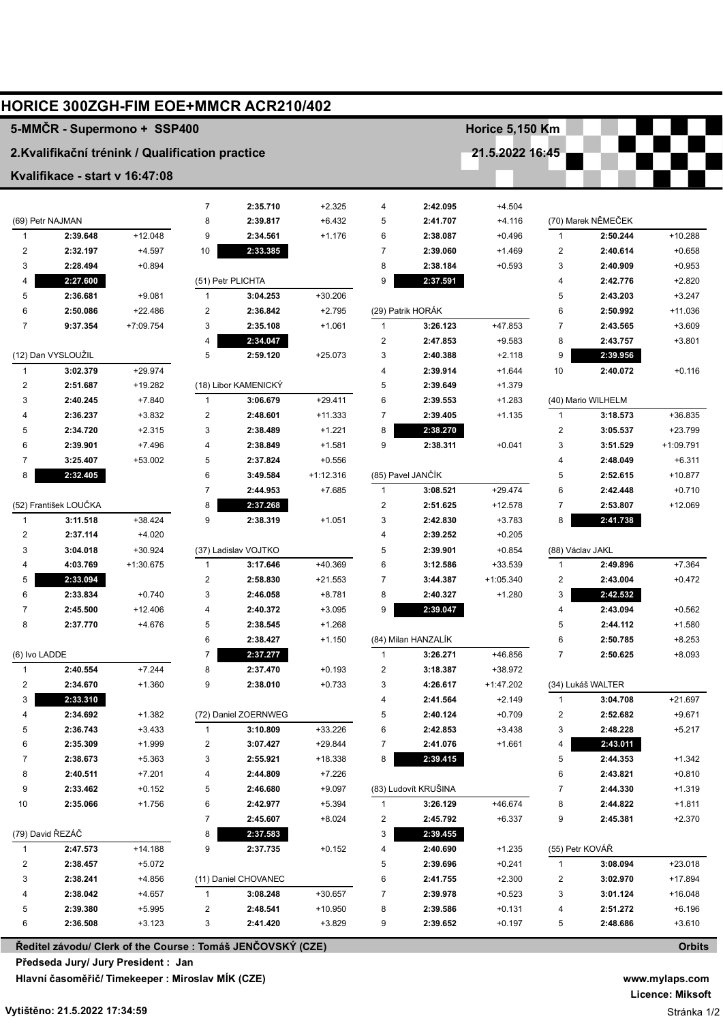|                              |                                |                                                  |                         | <b>HORICE 300ZGH-FIM EOE+MMCR ACR210/402</b>                |                     |                         |                      |                        |                                |                      |                      |
|------------------------------|--------------------------------|--------------------------------------------------|-------------------------|-------------------------------------------------------------|---------------------|-------------------------|----------------------|------------------------|--------------------------------|----------------------|----------------------|
|                              |                                | 5-MMČR - Supermono + SSP400                      |                         |                                                             |                     |                         |                      | <b>Horice 5,150 Km</b> |                                |                      |                      |
|                              |                                | 2. Kvalifikační trénink / Qualification practice |                         |                                                             |                     |                         |                      | 21.5.2022 16:45        |                                |                      |                      |
|                              | Kvalifikace - start v 16:47:08 |                                                  |                         |                                                             |                     |                         |                      |                        |                                |                      |                      |
|                              |                                |                                                  |                         |                                                             |                     |                         |                      |                        |                                |                      |                      |
|                              |                                |                                                  | $\overline{7}$          | 2:35.710                                                    | $+2.325$            | 4                       | 2:42.095             | $+4.504$               |                                |                      |                      |
|                              | (69) Petr NAJMAN               |                                                  | 8                       | 2:39.817                                                    | $+6.432$            | 5                       | 2:41.707             | $+4.116$               |                                | (70) Marek NĚMEČEK   |                      |
| $\mathbf{1}$                 | 2:39.648                       | $+12.048$                                        | 9<br>10                 | 2:34.561<br>2:33.385                                        | $+1.176$            | 6<br>$\overline{7}$     | 2:38.087             | $+0.496$               | $\mathbf{1}$<br>$\overline{c}$ | 2:50.244<br>2:40.614 | $+10.288$            |
| $\overline{\mathbf{c}}$<br>3 | 2:32.197<br>2:28.494           | $+4.597$<br>$+0.894$                             |                         |                                                             |                     | 8                       | 2:39.060<br>2:38.184 | $+1.469$<br>$+0.593$   | 3                              | 2:40.909             | $+0.658$<br>$+0.953$ |
| 4                            | 2:27.600                       |                                                  |                         | (51) Petr PLICHTA                                           |                     | 9                       | 2:37.591             |                        | 4                              | 2:42.776             | $+2.820$             |
| 5                            | 2:36.681                       | $+9.081$                                         | $\mathbf{1}$            | 3:04.253                                                    | $+30.206$           |                         |                      |                        | 5                              | 2:43.203             | $+3.247$             |
| 6                            | 2:50.086                       | $+22.486$                                        | $\overline{2}$          | 2:36.842                                                    | $+2.795$            |                         | (29) Patrik HORÁK    |                        | 6                              | 2:50.992             | $+11.036$            |
| $\overline{7}$               | 9:37.354                       | +7:09.754                                        | 3                       | 2:35.108                                                    | $+1.061$            | $\mathbf{1}$            | 3:26.123             | $+47.853$              | $\overline{7}$                 | 2:43.565             | $+3.609$             |
|                              |                                |                                                  | $\overline{4}$          | 2:34.047                                                    |                     | $\overline{\mathbf{c}}$ | 2:47.853             | $+9.583$               | 8                              | 2:43.757             | $+3.801$             |
|                              | (12) Dan VYSLOUŽIL             |                                                  | 5                       | 2:59.120                                                    | $+25.073$           | 3                       | 2:40.388             | $+2.118$               | 9                              | 2:39.956             |                      |
| $\mathbf{1}$                 | 3:02.379                       | $+29.974$                                        |                         |                                                             |                     | 4                       | 2:39.914             | $+1.644$               | 10                             | 2:40.072             | $+0.116$             |
| 2                            | 2:51.687                       | $+19.282$                                        |                         | (18) Libor KAMENICKÝ                                        |                     | 5                       | 2:39.649             | $+1.379$               |                                |                      |                      |
| 3                            | 2:40.245                       | $+7.840$                                         | $\mathbf{1}$            | 3:06.679                                                    | $+29.411$           | 6                       | 2:39.553             | $+1.283$               |                                | (40) Mario WILHELM   |                      |
| 4                            | 2:36.237                       | $+3.832$                                         | $\overline{\mathbf{c}}$ | 2:48.601                                                    | $+11.333$           | 7                       | 2:39.405             | $+1.135$               | 1                              | 3:18.573             | $+36.835$            |
| 5                            | 2:34.720                       | $+2.315$                                         | 3                       | 2:38.489                                                    | $+1.221$            | 8                       | 2:38.270             |                        | 2                              | 3:05.537             | +23.799              |
| 6                            | 2:39.901                       | $+7.496$                                         | $\overline{4}$          | 2:38.849                                                    | $+1.581$            | 9                       | 2:38.311             | $+0.041$               | 3                              | 3:51.529             | +1:09.791            |
| 7                            | 3:25.407                       | $+53.002$                                        | 5                       | 2:37.824                                                    | $+0.556$            |                         |                      |                        | 4                              | 2:48.049             | $+6.311$             |
| 8                            | 2:32.405                       |                                                  | 6                       | 3:49.584                                                    | $+1:12.316$         |                         | (85) Pavel JANČÍK    |                        | 5                              | 2:52.615             | +10.877              |
|                              |                                |                                                  | $\overline{7}$          | 2:44.953                                                    | $+7.685$            | $\mathbf{1}$            | 3:08.521             | $+29.474$              | 6                              | 2:42.448             | $+0.710$             |
|                              | (52) František LOUČKA          |                                                  | 8                       | 2:37.268                                                    |                     | $\overline{\mathbf{c}}$ | 2:51.625             | $+12.578$              | $\overline{7}$                 | 2:53.807             | $+12.069$            |
| $\mathbf{1}$                 | 3:11.518                       | $+38.424$                                        | 9                       | 2:38.319                                                    | $+1.051$            | 3                       | 2:42.830             | $+3.783$               | 8                              | 2:41.738             |                      |
| $\overline{2}$               | 2:37.114                       | $+4.020$                                         |                         |                                                             |                     | 4                       | 2:39.252             | $+0.205$               |                                |                      |                      |
| 3                            | 3:04.018                       | $+30.924$                                        |                         | (37) Ladislav VOJTKO                                        |                     | 5                       | 2:39.901             | $+0.854$               | (88) Václav JAKL               |                      |                      |
| 4                            | 4:03.769                       | $+1:30.675$                                      | 1                       | 3:17.646                                                    | $+40.369$           | 6                       | 3:12.586             | +33.539                | 1                              | 2:49.896             | $+7.364$             |
| 5                            | 2:33.094                       |                                                  | $\overline{\mathbf{c}}$ | 2:58.830                                                    | $+21.553$           | 7                       | 3:44.387             | $+1:05.340$            | 2                              | 2:43.004             | $+0.472$             |
| 6                            | 2:33.834                       | $+0.740$                                         | 3                       | 2:46.058                                                    | $+8.781$            | 8                       | 2:40.327             | $+1.280$               | 3                              | 2:42.532             |                      |
| 7                            | 2:45.500                       | $+12.406$                                        | 4                       | 2:40.372                                                    | $+3.095$            | 9                       | 2:39.047             |                        | 4                              | 2:43.094             | $+0.562$             |
| 8                            | 2:37.770                       | $+4.676$                                         | 5                       | 2:38.545                                                    | $+1.268$            |                         |                      |                        | 5                              | 2:44.112             | $+1.580$             |
|                              |                                |                                                  | 6                       | 2:38.427                                                    | $+1.150$            |                         | (84) Milan HANZALÍK  |                        | 6                              | 2:50.785             | $+8.253$             |
| (6) Ivo LADDE                |                                |                                                  | $\overline{7}$          | 2:37.277                                                    |                     | 1                       | 3:26.271             | +46.856                | $\overline{7}$                 | 2:50.625             | $+8.093$             |
| $\mathbf{1}$                 | 2:40.554                       | $+7.244$                                         | 8                       | 2:37.470                                                    | $+0.193$            | 2                       | 3:18.387             | +38.972                |                                |                      |                      |
| 2                            | 2:34.670                       | $+1.360$                                         | 9                       | 2:38.010                                                    | $+0.733$            | 3                       | 4:26.617             | +1:47.202              |                                | (34) Lukáš WALTER    |                      |
| 3                            | 2:33.310                       |                                                  |                         |                                                             |                     | 4                       | 2:41.564             | $+2.149$               | 1                              | 3:04.708             | +21.697              |
| 4                            | 2:34.692                       | $+1.382$                                         |                         | (72) Daniel ZOERNWEG                                        |                     | 5                       | 2:40.124             | $+0.709$               | 2                              | 2:52.682             | $+9.671$             |
| 5<br>6                       | 2:36.743                       | $+3.433$                                         | $\mathbf{1}$            | 3:10.809<br>3:07.427                                        | +33.226             | 6                       | 2:42.853             | $+3.438$               | 3                              | 2:48.228             | $+5.217$             |
| 7                            | 2:35.309<br>2:38.673           | $+1.999$<br>$+5.363$                             | 2<br>3                  | 2:55.921                                                    | $+29.844$           | 7<br>8                  | 2:41.076<br>2:39.415 | $+1.661$               | 4<br>5                         | 2:43.011             | $+1.342$             |
| 8                            | 2:40.511                       | $+7.201$                                         | 4                       | 2:44.809                                                    | +18.338<br>$+7.226$ |                         |                      |                        | 6                              | 2:44.353<br>2:43.821 | $+0.810$             |
| 9                            | 2:33.462                       | $+0.152$                                         | 5                       | 2:46.680                                                    | $+9.097$            |                         | (83) Ludovít KRUŠINA |                        | 7                              | 2:44.330             | $+1.319$             |
| 10                           | 2:35.066                       | $+1.756$                                         | 6                       | 2:42.977                                                    | $+5.394$            | -1                      | 3:26.129             | +46.674                | 8                              | 2:44.822             | $+1.811$             |
|                              |                                |                                                  | $\overline{7}$          | 2:45.607                                                    | $+8.024$            | 2                       | 2:45.792             | $+6.337$               | 9                              | 2:45.381             | $+2.370$             |
|                              | (79) David ŘEZÁČ               |                                                  | 8                       | 2:37.583                                                    |                     | 3                       | 2:39.455             |                        |                                |                      |                      |
| 1                            | 2:47.573                       | +14.188                                          | 9                       | 2:37.735                                                    | +0.152              | 4                       | 2:40.690             | $+1.235$               | (55) Petr KOVÁŘ                |                      |                      |
| 2                            | 2:38.457                       | $+5.072$                                         |                         |                                                             |                     | 5                       | 2:39.696             | $+0.241$               | 1                              | 3:08.094             | $+23.018$            |
| 3                            | 2:38.241                       | +4.856                                           |                         | (11) Daniel CHOVANEC                                        |                     | 6                       | 2:41.755             | $+2.300$               | 2                              | 3:02.970             | $+17.894$            |
| 4                            | 2:38.042                       | $+4.657$                                         | $\mathbf{1}$            | 3:08.248                                                    | $+30.657$           | 7                       | 2:39.978             | $+0.523$               | 3                              | 3:01.124             | +16.048              |
| 5                            | 2:39.380                       | $+5.995$                                         | 2                       | 2:48.541                                                    | $+10.950$           | 8                       | 2:39.586             | $+0.131$               | 4                              | 2:51.272             | $+6.196$             |
| 6                            | 2:36.508                       | $+3.123$                                         | 3                       | 2:41.420                                                    | +3.829              | 9                       | 2:39.652             | $+0.197$               | 5                              | 2:48.686             | $+3.610$             |
|                              |                                |                                                  |                         | Ředitel závodu/ Clerk of the Course : Tomáš JENČOVSKÝ (CZE) |                     |                         |                      |                        |                                |                      | <b>Orbits</b>        |

**Ředitel závodu/ Clerk of the Course : Tomáš JENČOVSKÝ (CZE) Předseda Jury/ Jury President : Jan ADÁMEK (CZE) Hlavní časoměřič/ Timekeeper : Miroslav MÍK (CZE)**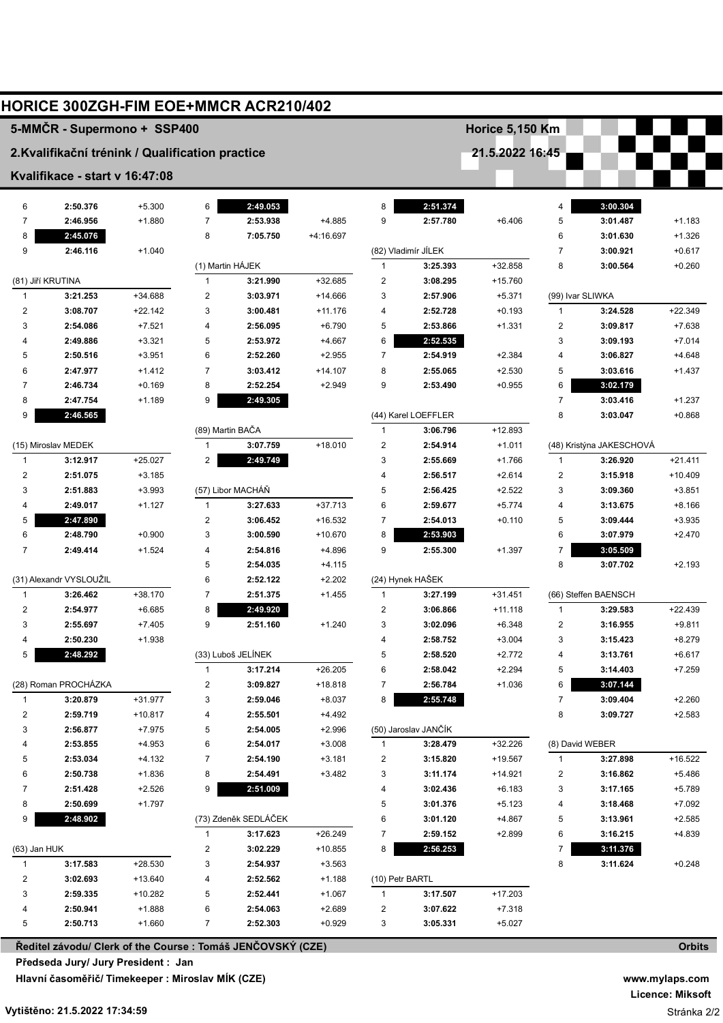|                         | <b>HORICE 300ZGH-FIM EOE+MMCR ACR210/402</b>     |           |                         |                                                             |           |                 |                      |                        |                         |                          |                      |
|-------------------------|--------------------------------------------------|-----------|-------------------------|-------------------------------------------------------------|-----------|-----------------|----------------------|------------------------|-------------------------|--------------------------|----------------------|
|                         | 5-MMČR - Supermono + SSP400                      |           |                         |                                                             |           |                 |                      | <b>Horice 5,150 Km</b> |                         |                          |                      |
|                         | 2. Kvalifikační trénink / Qualification practice |           |                         |                                                             |           |                 |                      | 21.5.2022 16:45        |                         |                          |                      |
|                         | Kvalifikace - start v 16:47:08                   |           |                         |                                                             |           |                 |                      |                        |                         |                          |                      |
| 6                       | 2:50.376                                         | $+5.300$  | 6                       | 2:49.053                                                    |           | 8               | 2:51.374             |                        | 4                       | 3:00.304                 |                      |
| 7                       | 2:46.956                                         | $+1.880$  | $\overline{7}$          | 2:53.938                                                    | +4.885    | 9               | 2:57.780             | $+6.406$               | 5                       | 3:01.487                 | $+1.183$             |
| 8                       | 2:45.076                                         |           | 8                       | 7:05.750                                                    | +4:16.697 |                 |                      |                        | 6                       | 3:01.630                 | $+1.326$             |
| 9                       | 2:46.116                                         | $+1.040$  |                         |                                                             |           |                 | (82) Vladimír JÍLEK  |                        | 7                       | 3:00.921                 | $+0.617$             |
|                         |                                                  |           |                         | (1) Martin HÁJEK                                            |           | $\mathbf{1}$    | 3:25.393             | +32.858                | 8                       | 3:00.564                 | $+0.260$             |
|                         | (81) Jiří KRUTINA                                |           | $\mathbf{1}$            | 3:21.990                                                    | $+32.685$ | 2               | 3:08.295             | $+15.760$              |                         |                          |                      |
| $\mathbf{1}$            | 3:21.253                                         | +34.688   | $\overline{2}$          | 3:03.971                                                    | $+14.666$ | 3               | 2:57.906             | $+5.371$               |                         | (99) Ivar SLIWKA         |                      |
| $\overline{2}$          | 3:08.707                                         | $+22.142$ | 3                       | 3:00.481                                                    | $+11.176$ | 4               | 2:52.728             | $+0.193$               | 1                       | 3:24.528                 | $+22.349$            |
| 3                       | 2:54.086                                         | $+7.521$  | $\overline{4}$          | 2:56.095                                                    | $+6.790$  | 5               | 2:53.866             | $+1.331$               | $\overline{2}$          | 3:09.817                 | $+7.638$             |
| 4                       | 2:49.886                                         | $+3.321$  | 5                       | 2:53.972                                                    | $+4.667$  | 6               | 2:52.535             |                        | 3                       | 3:09.193                 | $+7.014$             |
| 5                       | 2:50.516                                         | $+3.951$  | 6                       | 2:52.260                                                    | $+2.955$  | $\overline{7}$  | 2:54.919             | $+2.384$               | 4                       | 3:06.827                 | $+4.648$             |
| 6                       | 2:47.977                                         | $+1.412$  | $\overline{7}$          | 3:03.412                                                    | $+14.107$ | 8               | 2:55.065             | $+2.530$               | 5                       | 3:03.616                 | $+1.437$             |
| 7                       | 2:46.734                                         | $+0.169$  | 8                       | 2:52.254                                                    | $+2.949$  | 9               | 2:53.490             | $+0.955$               | 6                       | 3:02.179                 |                      |
| 8                       | 2:47.754                                         | $+1.189$  | 9                       | 2:49.305                                                    |           |                 |                      |                        | $\overline{7}$          | 3:03.416                 | $+1.237$             |
| 9                       | 2:46.565                                         |           |                         |                                                             |           |                 | (44) Karel LOEFFLER  |                        | 8                       | 3:03.047                 | $+0.868$             |
|                         |                                                  |           |                         | (89) Martin BAČA                                            |           | 1               | 3:06.796             | $+12.893$              |                         |                          |                      |
|                         | (15) Miroslav MEDEK                              |           | $\mathbf{1}$            | 3:07.759                                                    | $+18.010$ | 2               | 2:54.914             | $+1.011$               |                         | (48) Kristýna JAKESCHOVÁ |                      |
| $\mathbf{1}$            | 3:12.917                                         | $+25.027$ | $\overline{2}$          | 2:49.749                                                    |           | 3               | 2:55.669             | $+1.766$               | 1                       | 3:26.920                 | $+21.411$            |
| $\overline{\mathbf{c}}$ | 2:51.075                                         | $+3.185$  |                         |                                                             |           | 4               | 2:56.517             | $+2.614$               | $\overline{\mathbf{c}}$ | 3:15.918                 | $+10.409$            |
| 3                       | 2:51.883                                         | $+3.993$  |                         | (57) Libor MACHÁŇ                                           |           | 5               | 2:56.425             | $+2.522$               | 3                       | 3:09.360                 | $+3.851$             |
| 4                       | 2:49.017                                         | $+1.127$  | $\mathbf{1}$            | 3:27.633                                                    | $+37.713$ | 6               | 2:59.677             | $+5.774$               | 4                       | 3:13.675                 | $+8.166$             |
| 5                       | 2:47.890                                         |           | $\overline{\mathbf{c}}$ | 3:06.452                                                    | $+16.532$ | 7               | 2:54.013             | $+0.110$               | 5                       | 3:09.444                 | $+3.935$             |
| 6                       | 2:48.790                                         | $+0.900$  | 3                       | 3:00.590                                                    | $+10.670$ | 8               | 2:53.903             |                        | 6                       | 3:07.979                 | $+2.470$             |
| $\overline{7}$          | 2:49.414                                         | $+1.524$  | 4                       | 2:54.816                                                    | +4.896    | 9               | 2:55.300             | $+1.397$               | 7                       | 3:05.509                 |                      |
|                         |                                                  |           | 5                       | 2:54.035                                                    | $+4.115$  |                 |                      |                        | 8                       | 3:07.702                 | $+2.193$             |
|                         | (31) Alexandr VYSLOUŽIL                          |           | 6                       | 2:52.122                                                    | $+2.202$  |                 | (24) Hynek HAŠEK     |                        |                         |                          |                      |
| $\mathbf{1}$            | 3:26.462                                         | $+38.170$ | $\overline{7}$          | 2:51.375                                                    | $+1.455$  | $\mathbf{1}$    | 3:27.199             | $+31.451$              |                         | (66) Steffen BAENSCH     |                      |
| 2                       | 2:54.977                                         | $+6.685$  | 8<br>9                  | 2:49.920<br>2:51.160                                        |           | 2<br>3          | 3:06.866             | $+11.118$              | 1<br>$\overline{2}$     | 3:29.583                 | +22.439              |
| 3                       | 2:55.697                                         | $+7.405$  |                         |                                                             | $+1.240$  |                 | 3:02.096             | $+6.348$               |                         | 3:16.955                 | $+9.811$             |
| 4<br>5                  | 2:50.230<br>2:48.292                             | $+1.938$  |                         | (33) Luboš JELÍNEK                                          |           | 4<br>5          | 2:58.752<br>2:58.520 | $+3.004$               | 3<br>4                  | 3:15.423                 | $+8.279$<br>$+6.617$ |
|                         |                                                  |           | 1                       | 3:17.214                                                    | $+26.205$ | 6               | 2:58.042             | $+2.772$               | 5                       | 3:13.761                 | $+7.259$             |
|                         | (28) Roman PROCHÁZKA                             |           | 2                       | 3:09.827                                                    | +18.818   | 7               | 2:56.784             | $+2.294$<br>$+1.036$   | 6                       | 3:14.403<br>3:07.144     |                      |
| $\mathbf{1}$            | 3:20.879                                         | +31.977   | 3                       | 2:59.046                                                    | $+8.037$  | 8               | 2:55.748             |                        | $\overline{7}$          | 3:09.404                 | $+2.260$             |
| 2                       | 2:59.719                                         | $+10.817$ | 4                       | 2:55.501                                                    | $+4.492$  |                 |                      |                        | 8                       | 3:09.727                 | $+2.583$             |
| 3                       | 2:56.877                                         | $+7.975$  | 5                       | 2:54.005                                                    | $+2.996$  |                 | (50) Jaroslav JANČÍK |                        |                         |                          |                      |
| 4                       | 2:53.855                                         | $+4.953$  | 6                       | 2:54.017                                                    | $+3.008$  | -1              | 3:28.479             | $+32.226$              |                         | (8) David WEBER          |                      |
| 5                       | 2:53.034                                         | +4.132    | $\overline{7}$          | 2:54.190                                                    | $+3.181$  | 2               | 3:15.820             | +19.567                | $\mathbf{1}$            | 3:27.898                 | $+16.522$            |
| 6                       | 2:50.738                                         | $+1.836$  | 8                       | 2:54.491                                                    | $+3.482$  | 3               | 3:11.174             | +14.921                | 2                       | 3:16.862                 | $+5.486$             |
| 7                       | 2:51.428                                         | $+2.526$  | 9                       | 2:51.009                                                    |           | 4               | 3:02.436             | $+6.183$               | 3                       | 3:17.165                 | $+5.789$             |
| 8                       | 2:50.699                                         | $+1.797$  |                         |                                                             |           | 5               | 3:01.376             | $+5.123$               | 4                       | 3:18.468                 | $+7.092$             |
| 9                       | 2:48.902                                         |           |                         | (73) Zdeněk SEDLÁČEK                                        |           | 6               | 3:01.120             | +4.867                 | 5                       | 3:13.961                 | $+2.585$             |
|                         |                                                  |           | 1                       | 3:17.623                                                    | $+26.249$ | 7               | 2:59.152             | $+2.899$               | 6                       | 3:16.215                 | $+4.839$             |
| (63) Jan HUK            |                                                  |           | $\overline{\mathbf{c}}$ | 3:02.229                                                    | +10.855   | 8               | 2:56.253             |                        | 7                       | 3:11.376                 |                      |
| $\mathbf{1}$            | 3:17.583                                         | $+28.530$ | 3                       | 2:54.937                                                    | $+3.563$  |                 |                      |                        | 8                       | 3:11.624                 | $+0.248$             |
| $\overline{\mathbf{c}}$ | 3:02.693                                         | $+13.640$ | 4                       | 2:52.562                                                    | $+1.188$  | (10) Petr BARTL |                      |                        |                         |                          |                      |
| 3                       | 2:59.335                                         | $+10.282$ | 5                       | 2:52.441                                                    | $+1.067$  | 1               | 3:17.507             | $+17.203$              |                         |                          |                      |
| 4                       | 2:50.941                                         | $+1.888$  | 6                       | 2:54.063                                                    | $+2.689$  | 2               | 3:07.622             | $+7.318$               |                         |                          |                      |
| 5                       | 2:50.713                                         | $+1.660$  | $\overline{7}$          | 2:52.303                                                    | $+0.929$  | 3               | 3:05.331             | $+5.027$               |                         |                          |                      |
|                         |                                                  |           |                         |                                                             |           |                 |                      |                        |                         |                          |                      |
|                         |                                                  |           |                         | Ředitel závodu/ Clerk of the Course : Tomáš JENČOVSKÝ (CZE) |           |                 |                      |                        |                         |                          | <b>Orbits</b>        |

**Předseda Jury/ Jury President : Jan ADÁMEK (CZE)**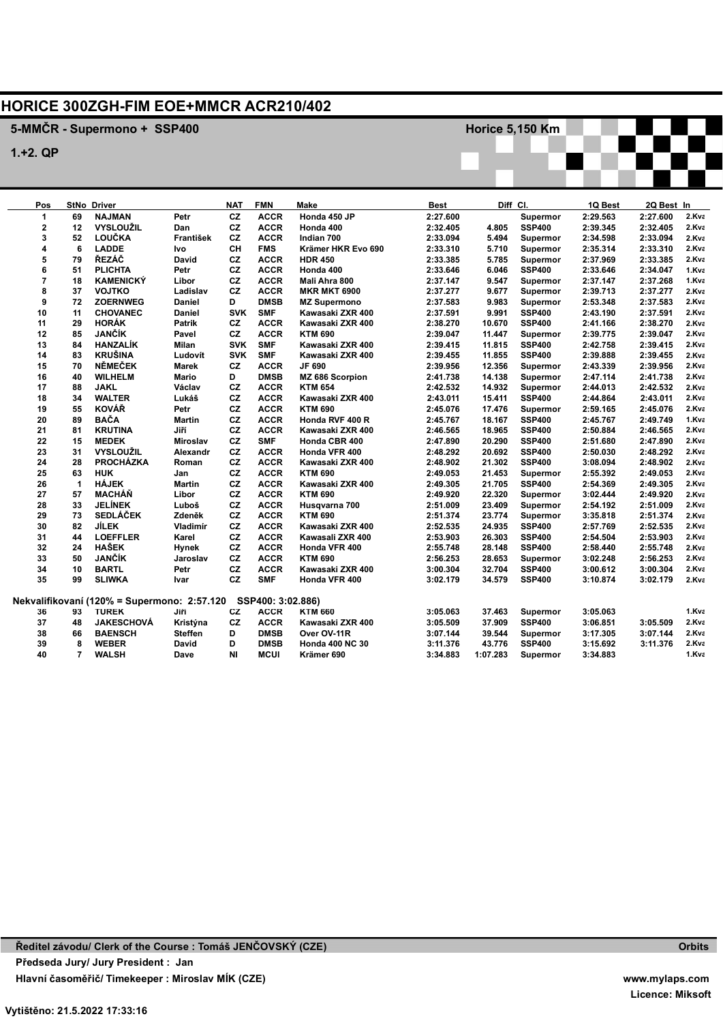## **HORICE 300ZGH-FIM EOE+MMCR ACR210/402**

## **5-MMČR - Supermono + SSP400**

**1.+2. QP**

| Pos            |                      | <b>StNo Driver</b>                                            |                | <b>NAT</b>             | <b>FMN</b>  | Make                            | Best     |          | Diff CI.                  | 1Q Best  | 2Q Best In           |                |
|----------------|----------------------|---------------------------------------------------------------|----------------|------------------------|-------------|---------------------------------|----------|----------|---------------------------|----------|----------------------|----------------|
| 1              | 69                   | <b>NAJMAN</b>                                                 | Petr           | cz                     | <b>ACCR</b> | Honda 450 JP                    | 2:27.600 |          | Supermor                  | 2:29.563 | 2:27.600             | 2.Kva          |
| $\overline{2}$ | 12                   | <b>VYSLOUŽIL</b>                                              | Dan            | cz                     | <b>ACCR</b> | Honda 400                       | 2:32.405 | 4.805    | <b>SSP400</b>             | 2:39.345 | 2:32.405             | 2.Kva          |
| 3              | 52                   | <b>LOUČKA</b>                                                 | František      | <b>CZ</b>              | <b>ACCR</b> | Indian 700                      | 2:33.094 | 5.494    | Supermor                  | 2:34.598 | 2:33.094             | 2.Kva          |
| 4              | 6                    | <b>LADDE</b>                                                  | Ivo            | CH                     | <b>FMS</b>  | Krämer HKR Evo 690              | 2:33.310 | 5.710    | Supermor                  | 2:35.314 | 2:33.310             | 2.Kva          |
| 5              | 79                   | ŘEZÁČ                                                         | David          | cz                     | <b>ACCR</b> | <b>HDR 450</b>                  | 2:33.385 | 5.785    | Supermor                  | 2:37.969 | 2:33.385             | 2.Kva          |
| 6              | 51                   | <b>PLICHTA</b>                                                | Petr           | <b>CZ</b>              | <b>ACCR</b> | Honda 400                       | 2:33.646 | 6.046    | <b>SSP400</b>             | 2:33.646 | 2:34.047             | 1.Kva          |
| $\overline{7}$ | 18                   | <b>KAMENICKÝ</b>                                              | Libor          | cz                     | <b>ACCR</b> | Mali Ahra 800                   | 2:37.147 | 9.547    | Supermor                  | 2:37.147 | 2:37.268             | 1.Kva          |
| 8              | 37                   | <b>VOJTKO</b>                                                 | Ladislav       | CZ                     | <b>ACCR</b> | <b>MKR MKT 6900</b>             | 2:37.277 | 9.677    | Supermor                  | 2:39.713 | 2:37.277             | 2.Kva          |
| 9              | 72                   | <b>ZOERNWEG</b>                                               | Daniel         | D                      | <b>DMSB</b> | <b>MZ Supermono</b>             | 2:37.583 | 9.983    | Supermor                  | 2:53.348 | 2:37.583             | 2.Kva          |
| 10             | 11                   | CHOVANEC                                                      | <b>Daniel</b>  | <b>SVK</b>             | <b>SMF</b>  | Kawasaki ZXR 400                | 2:37.591 | 9.991    | <b>SSP400</b>             | 2:43.190 | 2:37.591             | 2.Kva          |
| 11             | 29                   | <b>HORÁK</b>                                                  | Patrik         | CZ                     | <b>ACCR</b> | Kawasaki ZXR 400                | 2:38.270 | 10.670   | <b>SSP400</b>             | 2:41.166 | 2:38.270             | 2.Kva          |
| 12             | 85                   | JANČÍK                                                        | Pavel          | CZ                     | <b>ACCR</b> | <b>KTM 690</b>                  | 2:39.047 | 11.447   | Supermor                  | 2:39.775 | 2:39.047             | 2.Kva          |
| 13             | 84                   | <b>HANZALÍK</b>                                               | <b>Milan</b>   | <b>SVK</b>             | <b>SMF</b>  | Kawasaki ZXR 400                | 2:39.415 | 11.815   | <b>SSP400</b>             | 2:42.758 | 2:39.415             | 2.Kva          |
| 14             | 83                   | <b>KRUŠINA</b>                                                | Ludovít        | <b>SVK</b>             | <b>SMF</b>  | Kawasaki ZXR 400                | 2:39.455 | 11.855   | <b>SSP400</b>             | 2:39.888 | 2:39.455             | 2.Kva          |
| 15             | 70                   | NĚMEČEK                                                       | Marek          | <b>CZ</b>              | <b>ACCR</b> | JF 690                          | 2:39.956 | 12.356   | Supermor                  | 2:43.339 | 2:39.956             | 2.Kva          |
| 16             | 40                   | <b>WILHELM</b>                                                | Mario          | D                      | <b>DMSB</b> | MZ 686 Scorpion                 | 2:41.738 | 14.138   | Supermor                  | 2:47.114 | 2:41.738             | 2.Kva          |
| 17             | 88                   | <b>JAKL</b>                                                   | Václav         | <b>CZ</b>              | <b>ACCR</b> | <b>KTM 654</b>                  | 2:42.532 | 14.932   | Supermor                  | 2:44.013 | 2:42.532             | 2.Kva          |
| 18             | 34                   | <b>WALTER</b>                                                 | Lukáš          | cz                     | <b>ACCR</b> | Kawasaki ZXR 400                | 2:43.011 | 15.411   | <b>SSP400</b>             | 2:44.864 | 2:43.011             | 2.Kva          |
| 19             | 55                   | <b>KOVÁŘ</b>                                                  | Petr           | <b>CZ</b>              | <b>ACCR</b> | <b>KTM 690</b>                  | 2:45.076 | 17.476   | Supermor                  | 2:59.165 | 2:45.076             | 2.Kva          |
| 20             | 89                   | <b>BAČA</b>                                                   | Martin         | <b>CZ</b>              | <b>ACCR</b> | Honda RVF 400 R                 | 2:45.767 | 18.167   | <b>SSP400</b>             | 2:45.767 | 2:49.749             | 1.Kva          |
| 21             | 81                   | <b>KRUTINA</b>                                                | Jiří           | cz                     | <b>ACCR</b> | Kawasaki ZXR 400                | 2:46.565 | 18.965   | <b>SSP400</b>             | 2:50.884 | 2:46.565             | 2.Kva          |
| 22             | 15                   | <b>MEDEK</b>                                                  |                | cz                     | <b>SMF</b>  |                                 | 2:47.890 | 20.290   | <b>SSP400</b>             | 2:51.680 | 2:47.890             | 2.Kva          |
|                |                      | <b>VYSLOUŽIL</b>                                              | Miroslav       | cz                     | <b>ACCR</b> | Honda CBR 400                   |          |          |                           |          |                      |                |
| 23             | 31                   |                                                               | Alexandr       | <b>CZ</b>              |             | Honda VFR 400                   | 2:48.292 | 20.692   | <b>SSP400</b>             | 2:50.030 | 2:48.292             | 2.Kva          |
| 24             | 28                   | <b>PROCHÁZKA</b>                                              | Roman          |                        | <b>ACCR</b> | Kawasaki ZXR 400                | 2:48.902 | 21.302   | <b>SSP400</b>             | 3:08.094 | 2:48.902             | 2.Kva<br>2.Kva |
| 25             | 63                   | <b>HUK</b><br><b>HÁJEK</b>                                    | Jan            | cz<br><b>CZ</b>        | <b>ACCR</b> | <b>KTM 690</b>                  | 2:49.053 | 21.453   | Supermor<br><b>SSP400</b> | 2:55.392 | 2:49.053<br>2:49.305 | 2.Kva          |
| 26             | $\blacktriangleleft$ | MACHÁŇ                                                        | <b>Martin</b>  | <b>CZ</b>              | <b>ACCR</b> | Kawasaki ZXR 400                | 2:49.305 | 21.705   |                           | 2:54.369 |                      |                |
| 27             | 57                   | <b>JELÍNEK</b>                                                | Libor          |                        | <b>ACCR</b> | <b>KTM 690</b>                  | 2:49.920 | 22.320   | Supermor                  | 3:02.444 | 2:49.920             | 2.Kva          |
| 28             | 33                   | <b>SEDLÁČEK</b>                                               | Luboš          | <b>CZ</b><br><b>CZ</b> | <b>ACCR</b> | Husqvarna 700<br><b>KTM 690</b> | 2:51.009 | 23.409   | Supermor                  | 2:54.192 | 2:51.009             | 2.Kva          |
| 29             | 73                   |                                                               | Zdeněk         |                        | <b>ACCR</b> |                                 | 2:51.374 | 23.774   | Supermor                  | 3:35.818 | 2:51.374             | 2.Kva          |
| 30             | 82                   | JÍLEK                                                         | Vladimír       | cz                     | <b>ACCR</b> | Kawasaki ZXR 400                | 2:52.535 | 24.935   | <b>SSP400</b>             | 2:57.769 | 2:52.535             | 2.Kva          |
| 31             | 44                   | <b>LOEFFLER</b>                                               | Karel          | CZ                     | <b>ACCR</b> | Kawasali ZXR 400                | 2:53.903 | 26.303   | <b>SSP400</b>             | 2:54.504 | 2:53.903             | 2.Kva          |
| 32             | 24                   | <b>HAŠEK</b>                                                  | Hynek          | cz                     | <b>ACCR</b> | Honda VFR 400                   | 2:55.748 | 28.148   | <b>SSP400</b>             | 2:58.440 | 2:55.748             | 2.Kva          |
| 33             | 50                   | JANČÍK                                                        | Jaroslav       | cz                     | <b>ACCR</b> | <b>KTM 690</b>                  | 2:56.253 | 28.653   | Supermor                  | 3:02.248 | 2:56.253             | 2.Kva          |
| 34             | 10                   | <b>BARTL</b>                                                  | Petr           | cz                     | <b>ACCR</b> | Kawasaki ZXR 400                | 3:00.304 | 32.704   | <b>SSP400</b>             | 3:00.612 | 3:00.304             | 2.Kva          |
| 35             | 99                   | <b>SLIWKA</b>                                                 | Ivar           | cz                     | <b>SMF</b>  | Honda VFR 400                   | 3:02.179 | 34.579   | <b>SSP400</b>             | 3:10.874 | 3:02.179             | 2.Kva          |
|                |                      | Nekvalifikovaní (120% = Supermono: 2:57.120 SSP400: 3:02.886) |                |                        |             |                                 |          |          |                           |          |                      |                |
| 36             | 93                   | <b>TUREK</b>                                                  | Jiří           | CZ                     | <b>ACCR</b> | <b>KTM 660</b>                  | 3:05.063 | 37.463   | Supermor                  | 3:05.063 |                      | 1.Kva          |
| 37             | 48                   | <b>JAKESCHOVÁ</b>                                             | Kristýna       | <b>CZ</b>              | <b>ACCR</b> | Kawasaki ZXR 400                | 3:05.509 | 37.909   | <b>SSP400</b>             | 3:06.851 | 3:05.509             | 2.Kva          |
| 38             | 66                   | <b>BAENSCH</b>                                                | <b>Steffen</b> | D                      | <b>DMSB</b> | Over OV-11R                     | 3:07.144 | 39.544   | Supermor                  | 3:17.305 | 3:07.144             | 2.Kva          |
| 39             | 8                    | <b>WEBER</b>                                                  | David          | D                      | <b>DMSB</b> | <b>Honda 400 NC 30</b>          | 3:11.376 | 43.776   | <b>SSP400</b>             | 3:15.692 | 3:11.376             | 2.Kva          |
| 40             | 7                    | <b>WALSH</b>                                                  | Dave           | <b>NI</b>              | MCUI        | Krämer 690                      | 3:34.883 | 1:07.283 | Supermor                  | 3:34.883 |                      | 1.Kva          |

**Horice 5,150 Km**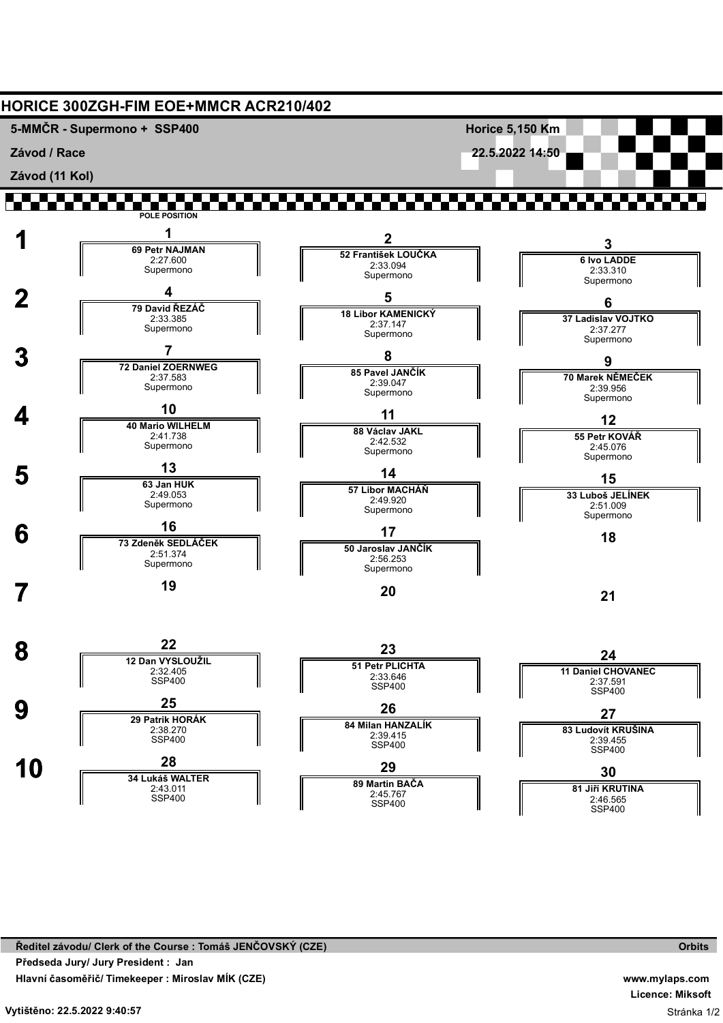

**www.mylaps.com Licence: Miksoft** Stránka 1/2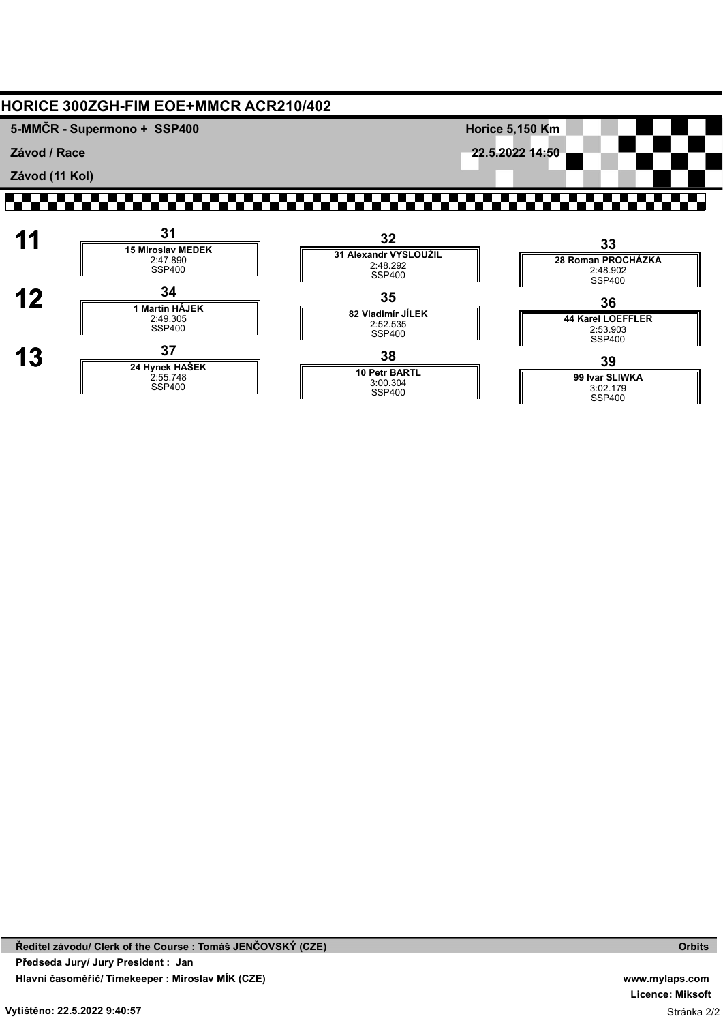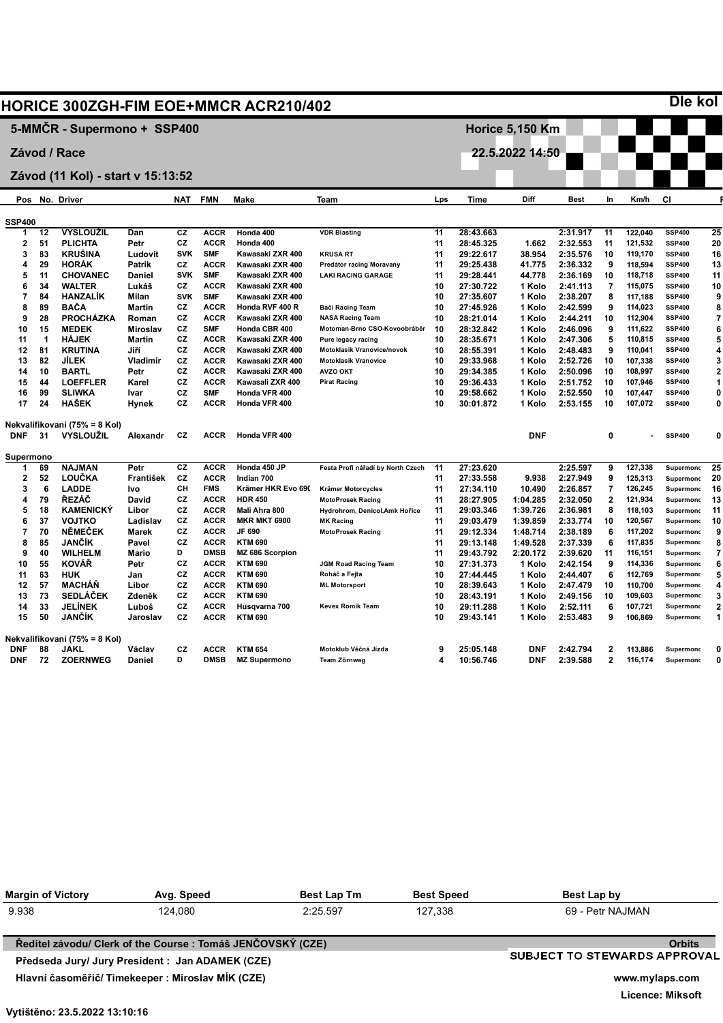|               |           |                                   |               |            |             | <b>HORICE 300ZGH-FIM EOE+MMCR ACR210/402</b> |                                   |     |             |                        |             |                |         | <b>Die kol</b>   |                |
|---------------|-----------|-----------------------------------|---------------|------------|-------------|----------------------------------------------|-----------------------------------|-----|-------------|------------------------|-------------|----------------|---------|------------------|----------------|
|               |           | 5-MMČR - Supermono + SSP400       |               |            |             |                                              |                                   |     |             | <b>Horice 5,150 Km</b> |             |                |         |                  |                |
|               |           | Závod / Race                      |               |            |             |                                              |                                   |     |             | 22.5.2022 14:50        |             |                |         |                  |                |
|               |           |                                   |               |            |             |                                              |                                   |     |             |                        |             |                |         |                  |                |
|               |           | Závod (11 Kol) - start v 15:13:52 |               |            |             |                                              |                                   |     |             |                        |             |                |         |                  |                |
|               |           | Pos No. Driver                    |               | <b>NAT</b> | <b>FMN</b>  | Make                                         | <b>Team</b>                       | Lps | <b>Time</b> | Diff                   | <b>Best</b> | ln.            | Km/h    | CI               |                |
| <b>SSP400</b> |           |                                   |               |            |             |                                              |                                   |     |             |                        |             |                |         |                  |                |
| 1             | 12        | <b>VYSLOUŽIL</b>                  | Dan           | <b>CZ</b>  | <b>ACCR</b> | Honda 400                                    | <b>VDR Blasting</b>               | 11  | 28:43.663   |                        | 2:31.917    | 11             | 122,040 | <b>SSP400</b>    | 25             |
| $\mathbf{2}$  | 51        | <b>PLICHTA</b>                    | Petr          | CZ         | <b>ACCR</b> | Honda 400                                    |                                   | 11  | 28:45.325   | 1.662                  | 2:32.553    | 11             | 121,532 | <b>SSP400</b>    | 20             |
| 3             | 83        | <b>KRUŠINA</b>                    | Ludovít       | <b>SVK</b> | <b>SMF</b>  | Kawasaki ZXR 400                             | <b>KRUSA RT</b>                   | 11  | 29:22.617   | 38.954                 | 2:35.576    | 10             | 119,170 | <b>SSP400</b>    | 16             |
| 4             | 29        | <b>HORÁK</b>                      | Patrik        | CZ         | <b>ACCR</b> | Kawasaki ZXR 400                             | Predátor racing Moravany          | 11  | 29:25.438   | 41.775                 | 2:36.332    | 9              | 118,594 | <b>SSP400</b>    | 13             |
| 5             | 11        | <b>CHOVANEC</b>                   | Daniel        | <b>SVK</b> | <b>SMF</b>  | Kawasaki ZXR 400                             | <b>LAKI RACING GARAGE</b>         | 11  | 29:28.441   | 44.778                 | 2:36.169    | 10             | 118,718 | <b>SSP400</b>    | 11             |
| 6             | 34        | <b>WALTER</b>                     | Lukáš         | CZ         | <b>ACCR</b> | Kawasaki ZXR 400                             |                                   | 10  | 27:30.722   | 1 Kolo                 | 2:41.113    | 7              | 115,075 | <b>SSP400</b>    | 10             |
| 7             | 84        | <b>HANZALÍK</b>                   | Milan         | <b>SVK</b> | <b>SMF</b>  | Kawasaki ZXR 400                             |                                   | 10  | 27:35.607   | 1 Kolo                 | 2:38.207    | 8              | 117,188 | <b>SSP400</b>    | 9              |
| 8             | 89        | <b>BAČA</b>                       | <b>Martin</b> | CZ         | <b>ACCR</b> | Honda RVF 400 R                              | Bači Racing Team                  | 10  | 27:45.926   | 1 Kolo                 | 2:42.599    | 9              | 114,023 | <b>SSP400</b>    | 8              |
| 9             | 28        | <b>PROCHÁZKA</b>                  | Roman         | <b>CZ</b>  | <b>ACCR</b> | Kawasaki ZXR 400                             | <b>NASA Racing Team</b>           | 10  | 28:21.014   | 1 Kolo                 | 2:44.211    | 10             | 112,904 | <b>SSP400</b>    | 7              |
| 10            | 15        | <b>MEDEK</b>                      | Miroslav      | <b>CZ</b>  | <b>SMF</b>  | Honda CBR 400                                | Motoman-Brno CSO-Kovoobráběr      | 10  | 28:32.842   | 1 Kolo                 | 2:46.096    | 9              | 111,622 | <b>SSP400</b>    | 6              |
| 11            | 1         | <b>HÁJEK</b>                      | Martin        | CZ         | <b>ACCR</b> | Kawasaki ZXR 400                             | Pure legacy racing                | 10  | 28:35.671   | 1 Kolo                 | 2:47.306    | 5              | 110,815 | <b>SSP400</b>    | 5              |
| 12            | <b>B1</b> | <b>KRUTINA</b>                    | Jiří          | <b>CZ</b>  | <b>ACCR</b> | Kawasaki ZXR 400                             | Motoklasik Vranovice/novok        | 10  | 28:55.391   | 1 Kolo                 | 2:48.483    | 9              | 110,041 | <b>SSP400</b>    | 4              |
| 13            | 82        | <b>JILEK</b>                      | Vladimír      | CZ         | <b>ACCR</b> | Kawasaki ZXR 400                             | <b>Motoklasik Vranovice</b>       | 10  | 29:33.968   | 1 Kolo                 | 2:52.726    | 10             | 107,338 | <b>SSP400</b>    | 3              |
| 14            | 10        | <b>BARTL</b>                      | Petr          | CZ         | <b>ACCR</b> | Kawasaki ZXR 400                             | <b>AVZO OKT</b>                   | 10  | 29:34.385   | 1 Kolo                 | 2:50.096    | 10             | 108,997 | <b>SSP400</b>    | $\overline{2}$ |
| 15            | 44        | <b>LOEFFLER</b>                   | Karel         | <b>CZ</b>  | <b>ACCR</b> | Kawasali ZXR 400                             | <b>Pirat Racing</b>               | 10  | 29:36.433   | 1 Kolo                 | 2:51.752    | 10             | 107,946 | <b>SSP400</b>    | 1              |
| 16            | 99        | <b>SLIWKA</b>                     | Ivar          | CZ         | <b>SMF</b>  | Honda VFR 400                                |                                   | 10  | 29:58.662   | 1 Kolo                 | 2:52.550    | 10             | 107,447 | <b>SSP400</b>    | 0              |
| 17            | 24        | <b>HAŠEK</b>                      | Hynek         | <b>CZ</b>  | <b>ACCR</b> | Honda VFR 400                                |                                   | 10  | 30:01.872   | 1 Kolo                 | 2:53.155    | 10             | 107,072 | <b>SSP400</b>    | 0              |
|               |           | Nekvalifikovaní (75% = 8 Kol)     |               |            |             |                                              |                                   |     |             |                        |             |                |         |                  |                |
| <b>DNF</b>    | 31        | <b>VYSLOUŽIL</b>                  | Alexandr      | CZ         | <b>ACCR</b> | Honda VFR 400                                |                                   |     |             | <b>DNF</b>             |             | 0              |         | <b>SSP400</b>    | 0              |
| Supermono     |           |                                   |               |            |             |                                              |                                   |     |             |                        |             |                |         |                  |                |
| 1             | 69        | <b>NAJMAN</b>                     | Petr          | CZ         | <b>ACCR</b> | Honda 450 JP                                 | Festa Profi nářadí by North Czech | 11  | 27:23.620   |                        | 2:25.597    | 9              | 127,338 | Supermond        | 25             |
| $\mathbf{2}$  | 52        | LOUČKA                            | František     | CZ         | <b>ACCR</b> | Indian 700                                   |                                   | 11  | 27:33.558   | 9.938                  | 2:27.949    | 9              | 125,313 | Supermond        | 20             |
| 3             | 6         | <b>LADDE</b>                      | Ivo           | CН         | <b>FMS</b>  | Krämer HKR Evo 690                           | <b>Krämer Motorcycles</b>         | 11  | 27:34.110   | 10.490                 | 2:26.857    | 7              | 126,245 | Supermond        | 16             |
| 4             | 79        | ŘEZÁČ                             | David         | <b>CZ</b>  | <b>ACCR</b> | <b>HDR 450</b>                               | <b>MotoProsek Racing</b>          | 11  | 28:27.905   | 1:04.285               | 2:32.050    | $\mathbf{2}$   | 121,934 | <b>Supermond</b> | 13             |
| 5             | 18        | <b>KAMENICKY</b>                  | Libor         | CZ         | <b>ACCR</b> | Mali Ahra 800                                | Hydrohrom, Denicol, Amk Hořice    | 11  | 29:03.346   | 1:39.726               | 2:36.981    | 8              | 118,103 | Supermond        | 11             |
| 6             | 37        | <b>VOJTKO</b>                     | Ladislav      | CZ         | <b>ACCR</b> | <b>MKR MKT 6900</b>                          | <b>MK Racing</b>                  | 11  | 29:03.479   | 1:39.859               | 2:33.774    | 10             | 120,567 | Supermond        | 10             |
| 7             | 70        | <b>NĚMEČEK</b>                    | <b>Marek</b>  | CZ         | <b>ACCR</b> | JF 690                                       | <b>MotoProsek Racing</b>          | 11  | 29:12.334   | 1:48.714               | 2:38.189    | 6              | 117,202 | Supermond        | 9              |
| 8             | 85        | JANČÍK                            | Pavel         | CZ         | <b>ACCR</b> | <b>KTM 690</b>                               |                                   | 11  | 29:13.148   | 1:49.528               | 2:37.339    | 6              | 117,835 | Supermond        | 8              |
| 9             | 40        | <b>WILHELM</b>                    | <b>Mario</b>  | D          | <b>DMSB</b> | MZ 686 Scorpion                              |                                   | 11  | 29:43.792   | 2:20.172               | 2:39.620    | 11             | 116,151 | Supermond        | 7              |
| 10            | 55        | <b>KOVÁŘ</b>                      | Petr          | CZ         | <b>ACCR</b> | <b>KTM 690</b>                               | <b>JGM Road Racing Team</b>       | 10  | 27:31.373   | 1 Kolo                 | 2:42.154    | 9              | 114,336 | Supermond        | 6              |
| 11            | 63        | <b>HUK</b>                        | Jan           | CZ         | <b>ACCR</b> | <b>KTM 690</b>                               | Roháč a Fejta                     | 10  | 27:44.445   | 1 Kolo                 | 2:44.407    | 6              | 112,769 | Supermond        |                |
| 12            | 57        | <b>MACHÁŇ</b>                     | Libor         | CZ         | <b>ACCR</b> | <b>KTM 690</b>                               | <b>ML Motorsport</b>              | 10  | 28:39.643   | 1 Kolo                 | 2:47.479    | 10             | 110,700 | <b>Supermond</b> | 4              |
| 13            | 73        | <b>SEDLÁČEK</b>                   | Zdeněk        | CZ         | <b>ACCR</b> | <b>KTM 690</b>                               |                                   | 10  | 28:43.191   | 1 Kolo                 | 2:49.156    | 10             | 109,603 | Supermond        |                |
| 14            | 33        | <b>JELÍNEK</b>                    | Luboš         | CZ         | <b>ACCR</b> | Husqvarna 700                                | <b>Kevex Romik Team</b>           | 10  | 29:11.288   | 1 Kolo                 | 2:52.111    | 6              | 107,721 | <b>Supermond</b> |                |
| 15            | 50        | <b>JANČÍK</b>                     | Jaroslav      | CZ         | <b>ACCR</b> | <b>KTM 690</b>                               |                                   | 10  | 29:43.141   | 1 Kolo                 | 2:53.483    | 9              | 106,869 | Supermond        | 1              |
|               |           | Nekvalifikovaní (75% = 8 Kol)     |               |            |             |                                              |                                   |     |             |                        |             |                |         |                  |                |
| <b>DNF</b>    | 88        | <b>JAKL</b>                       | Václav        | CZ         | <b>ACCR</b> | <b>KTM 654</b>                               | Motoklub Věčná Jízda              | 9   | 25:05.148   | <b>DNF</b>             | 2:42.794    | $\overline{2}$ | 113,886 | <b>Supermond</b> | 0              |
| <b>DNF</b>    | 72        | <b>ZOERNWEG</b>                   | Daniel        | D          | <b>DMSB</b> | <b>MZ Supermono</b>                          | Team Zőrnweg                      | 4   | 10:56.746   | <b>DNF</b>             | 2:39.588    | 2              | 116,174 | Supermond        | n              |

**P**

| <b>Margin of Victory</b> | Avg. Speed                                                 | <b>Best Lap Tm</b> | <b>Best Speed</b> | Best Lap by                  |
|--------------------------|------------------------------------------------------------|--------------------|-------------------|------------------------------|
| 9.938                    | 124.080                                                    | 2:25.597           | 127.338           | 69 - Petr NAJMAN             |
|                          | Ředitel závodu/ Clerk of the Course: Tomáš JENČOVSKÝ (CZE) |                    |                   | <b>Orbits</b>                |
|                          | Předseda Jury/ Jury President : Jan ADAMEK (CZE)           |                    |                   | SUBJECT TO STEWARDS APPROVAL |
|                          | Hlavní časoměřič/ Timekeeper : Miroslav MÍK (CZE)          |                    |                   | www.mylaps.com               |
|                          |                                                            |                    |                   | Licence: Miksoft             |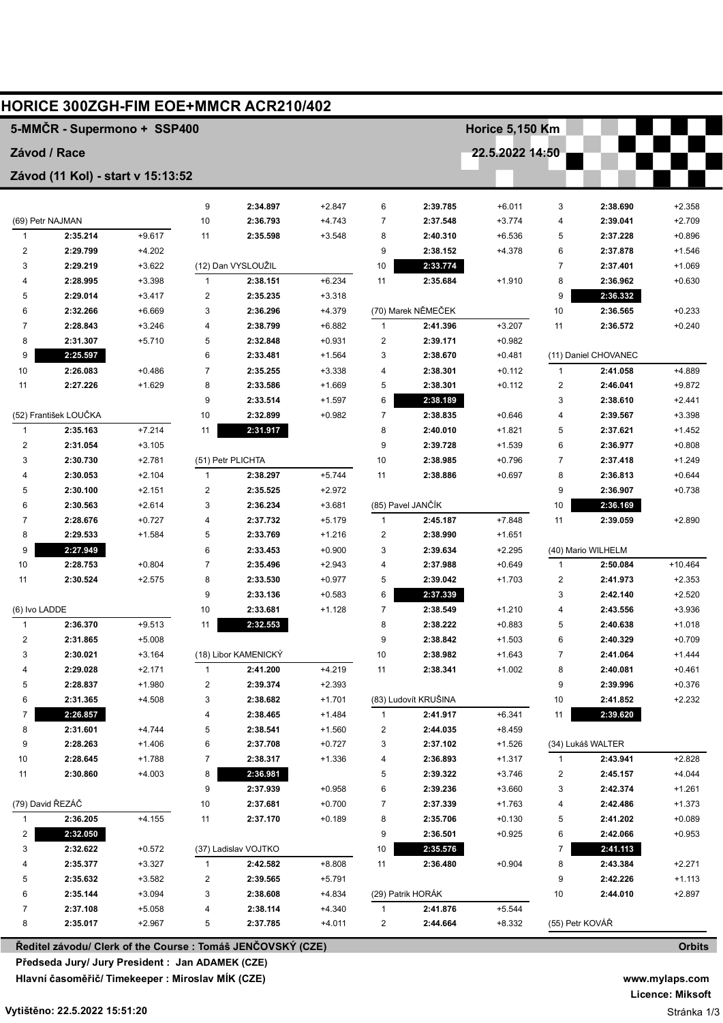|                         |                                   |                      |                         | HORICE 300ZGH-FIM EOE+MMCR ACR210/402                       |          |                         |                      |                        |                         |                      |                      |
|-------------------------|-----------------------------------|----------------------|-------------------------|-------------------------------------------------------------|----------|-------------------------|----------------------|------------------------|-------------------------|----------------------|----------------------|
|                         | 5-MMČR - Supermono + SSP400       |                      |                         |                                                             |          |                         |                      | <b>Horice 5,150 Km</b> |                         |                      |                      |
|                         | Závod / Race                      |                      |                         |                                                             |          |                         |                      | 22.5.2022 14:50        |                         |                      |                      |
|                         | Závod (11 Kol) - start v 15:13:52 |                      |                         |                                                             |          |                         |                      |                        |                         |                      |                      |
|                         |                                   |                      | 9                       | 2:34.897                                                    | $+2.847$ | 6                       | 2:39.785             | $+6.011$               | 3                       | 2:38.690             | $+2.358$             |
|                         | (69) Petr NAJMAN                  |                      | 10                      | 2:36.793                                                    | $+4.743$ | 7                       | 2:37.548             | $+3.774$               | 4                       | 2:39.041             | $+2.709$             |
| 1                       | 2:35.214                          | $+9.617$             | 11                      | 2:35.598                                                    | $+3.548$ | 8                       | 2:40.310             | $+6.536$               | 5                       | 2:37.228             | $+0.896$             |
| $\overline{\mathbf{c}}$ | 2:29.799                          | $+4.202$             |                         |                                                             |          | 9                       | 2:38.152             | $+4.378$               | 6                       | 2:37.878             | $+1.546$             |
| 3                       | 2:29.219                          | $+3.622$             |                         | (12) Dan VYSLOUŽIL                                          |          | 10                      | 2:33.774             |                        | 7                       | 2:37.401             | $+1.069$             |
| 4                       | 2:28.995                          | $+3.398$             | $\mathbf{1}$            | 2:38.151                                                    | $+6.234$ | 11                      | 2:35.684             | $+1.910$               | 8                       | 2:36.962             | $+0.630$             |
| 5                       | 2:29.014                          | $+3.417$             | $\overline{\mathbf{c}}$ | 2:35.235                                                    | $+3.318$ |                         |                      |                        | 9                       | 2:36.332             |                      |
| 6                       | 2:32.266                          | $+6.669$             | 3                       | 2:36.296                                                    | $+4.379$ |                         | (70) Marek NĚMEČEK   |                        | 10                      | 2:36.565             | $+0.233$             |
| $\overline{7}$          | 2:28.843                          | $+3.246$             | 4                       | 2:38.799                                                    | $+6.882$ | $\mathbf{1}$            | 2:41.396             | $+3.207$               | 11                      | 2:36.572             | $+0.240$             |
| 8                       | 2:31.307                          | $+5.710$             | 5                       | 2:32.848                                                    | $+0.931$ | 2                       | 2:39.171             | $+0.982$               |                         |                      |                      |
| 9                       | 2:25.597                          |                      | 6                       | 2:33.481                                                    | $+1.564$ | 3                       | 2:38.670             | $+0.481$               |                         | (11) Daniel CHOVANEC |                      |
| 10                      | 2:26.083                          | $+0.486$             | $\overline{7}$          | 2:35.255                                                    | $+3.338$ | 4                       | 2:38.301             | $+0.112$               | $\mathbf{1}$            | 2:41.058             | $+4.889$             |
| 11                      | 2:27.226                          | $+1.629$             | 8                       | 2:33.586                                                    | $+1.669$ | 5                       | 2:38.301             | $+0.112$               | $\overline{\mathbf{c}}$ | 2:46.041             | $+9.872$             |
|                         |                                   |                      | 9                       | 2:33.514                                                    | $+1.597$ | 6                       | 2:38.189             |                        | 3                       | 2:38.610             | $+2.441$             |
|                         | (52) František LOUČKA             |                      | 10                      | 2:32.899                                                    | $+0.982$ | 7                       | 2:38.835             | $+0.646$               | 4                       | 2:39.567             | $+3.398$             |
| $\mathbf{1}$            | 2:35.163                          | $+7.214$             | 11                      | 2:31.917                                                    |          | 8                       | 2:40.010             | $+1.821$               | 5                       | 2:37.621             | $+1.452$             |
| $\overline{\mathbf{c}}$ | 2:31.054                          | $+3.105$             |                         |                                                             |          | 9                       | 2:39.728             | $+1.539$               | 6                       | 2:36.977             | $+0.808$             |
| 3                       | 2:30.730                          | $+2.781$             |                         | (51) Petr PLICHTA                                           |          | 10                      | 2:38.985             | $+0.796$               | 7                       | 2:37.418             | $+1.249$             |
| 4                       | 2:30.053                          | $+2.104$             | $\mathbf{1}$            | 2:38.297                                                    | $+5.744$ | 11                      | 2:38.886             | $+0.697$               | 8                       | 2:36.813             | $+0.644$             |
| 5                       | 2:30.100                          | $+2.151$             | $\boldsymbol{2}$        | 2:35.525                                                    | $+2.972$ |                         |                      |                        | 9                       | 2:36.907             | $+0.738$             |
| 6                       | 2:30.563                          | $+2.614$             | 3                       | 2:36.234                                                    | $+3.681$ |                         | (85) Pavel JANČÍK    |                        | 10                      | 2:36.169             |                      |
| $\overline{7}$          | 2:28.676                          | $+0.727$             | 4                       | 2:37.732                                                    | $+5.179$ | $\mathbf{1}$            | 2:45.187             | $+7.848$               | 11                      | 2:39.059             | $+2.890$             |
| 8                       | 2:29.533                          | $+1.584$             | 5                       | 2:33.769                                                    | $+1.216$ | $\overline{\mathbf{c}}$ | 2:38.990             | $+1.651$               |                         |                      |                      |
| 9                       | 2:27.949                          |                      | 6                       | 2:33.453                                                    | $+0.900$ | 3                       | 2:39.634             | $+2.295$               |                         | (40) Mario WILHELM   |                      |
| 10                      | 2:28.753                          | $+0.804$             | $\overline{7}$          | 2:35.496                                                    | $+2.943$ | 4                       | 2:37.988             | $+0.649$               | 1                       | 2:50.084             | $+10.464$            |
| 11                      | 2:30.524                          | $+2.575$             | 8                       | 2:33.530                                                    | $+0.977$ | 5                       | 2:39.042             | $+1.703$               | 2                       | 2:41.973             | $+2.353$             |
|                         |                                   |                      | 9                       | 2:33.136                                                    | $+0.583$ | 6                       | 2:37.339             |                        | 3                       | 2:42.140             | $+2.520$             |
| (6) Ivo LADDE           |                                   |                      | 10                      | 2:33.681                                                    | $+1.128$ | 7                       | 2:38.549             | $+1.210$               | 4                       | 2:43.556             | $+3.936$             |
| $\mathbf{1}$            | 2:36.370                          | $+9.513$             | 11                      | 2:32.553                                                    |          | 8                       | 2:38.222             | $+0.883$               | 5                       | 2:40.638             | $+1.018$             |
| 2                       | 2:31.865                          | $+5.008$             |                         |                                                             |          | 9                       | 2:38.842             | $+1.503$               | 6                       | 2:40.329             | $+0.709$             |
| 3                       | 2:30.021                          | $+3.164$             |                         | (18) Libor KAMENICKÝ                                        |          | 10                      | 2:38.982             | $+1.643$               | 7                       | 2:41.064             | $+1.444$             |
| 4                       | 2:29.028                          | $+2.171$             | 1                       | 2:41.200                                                    | +4.219   | 11                      | 2:38.341             | $+1.002$               | 8                       | 2:40.081             | $+0.461$             |
| 5                       | 2:28.837                          | $+1.980$             | 2                       | 2:39.374                                                    | $+2.393$ |                         | (83) Ludovít KRUŠINA |                        | 9                       | 2:39.996             | $+0.376$             |
| 6                       | 2:31.365                          | +4.508               | 3                       | 2:38.682                                                    | $+1.701$ |                         |                      |                        | 10                      | 2:41.852             | $+2.232$             |
| 7                       | 2:26.857                          |                      | 4                       | 2:38.465                                                    | $+1.484$ | 1                       | 2:41.917             | $+6.341$               | 11                      | 2:39.620             |                      |
| 8                       | 2:31.601<br>2:28.263              | $+4.744$             | 5                       | 2:38.541                                                    | $+1.560$ | 2                       | 2:44.035             | +8.459                 |                         |                      |                      |
| 9                       |                                   | $+1.406$             | 6                       | 2:37.708                                                    | $+0.727$ | 3                       | 2:37.102             | $+1.526$               |                         | (34) Lukáš WALTER    |                      |
| $10\,$<br>11            | 2:28.645<br>2:30.860              | $+1.788$<br>$+4.003$ | 7<br>8                  | 2:38.317<br>2:36.981                                        | $+1.336$ | 4<br>5                  | 2:36.893<br>2:39.322 | +1.317<br>$+3.746$     | 1<br>2                  | 2:43.941<br>2:45.157 | $+2.828$<br>$+4.044$ |
|                         |                                   |                      | 9                       | 2:37.939                                                    | $+0.958$ |                         |                      | $+3.660$               | 3                       | 2:42.374             |                      |
|                         | (79) David ŘEZÁČ                  |                      | 10                      | 2:37.681                                                    | $+0.700$ | 6<br>7                  | 2:39.236<br>2:37.339 | $+1.763$               | 4                       | 2:42.486             | $+1.261$<br>$+1.373$ |
| 1                       | 2:36.205                          | +4.155               | 11                      | 2:37.170                                                    | $+0.189$ | 8                       | 2:35.706             | $+0.130$               | 5                       | 2:41.202             | $+0.089$             |
| $\overline{\mathbf{c}}$ | 2:32.050                          |                      |                         |                                                             |          | 9                       | 2:36.501             | $+0.925$               | 6                       | 2:42.066             | $+0.953$             |
| 3                       | 2:32.622                          | $+0.572$             |                         | (37) Ladislav VOJTKO                                        |          | 10                      | 2:35.576             |                        | 7                       | 2:41.113             |                      |
| 4                       | 2:35.377                          | $+3.327$             | $\mathbf{1}$            | 2:42.582                                                    | $+8.808$ | 11                      | 2:36.480             | $+0.904$               | 8                       | 2:43.384             | $+2.271$             |
| 5                       | 2:35.632                          | $+3.582$             | 2                       | 2:39.565                                                    | $+5.791$ |                         |                      |                        | 9                       | 2:42.226             | $+1.113$             |
| 6                       | 2:35.144                          | $+3.094$             | 3                       | 2:38.608                                                    | $+4.834$ |                         | (29) Patrik HORÁK    |                        | 10                      | 2:44.010             | $+2.897$             |
| $\overline{7}$          | 2:37.108                          | $+5.058$             | 4                       | 2:38.114                                                    | $+4.340$ |                         | 2:41.876             | $+5.544$               |                         |                      |                      |
| 8                       | 2:35.017                          | $+2.967$             | 5                       | 2:37.785                                                    | $+4.011$ | 2                       | 2:44.664             | $+8.332$               | (55) Petr KOVÁŘ         |                      |                      |
|                         |                                   |                      |                         | Ředitel závodu/ Clerk of the Course : Tomáš JENČOVSKÝ (CZE) |          |                         |                      |                        |                         |                      | <b>Orbits</b>        |

**Předseda Jury/ Jury President : Jan ADÁMEK (CZE)**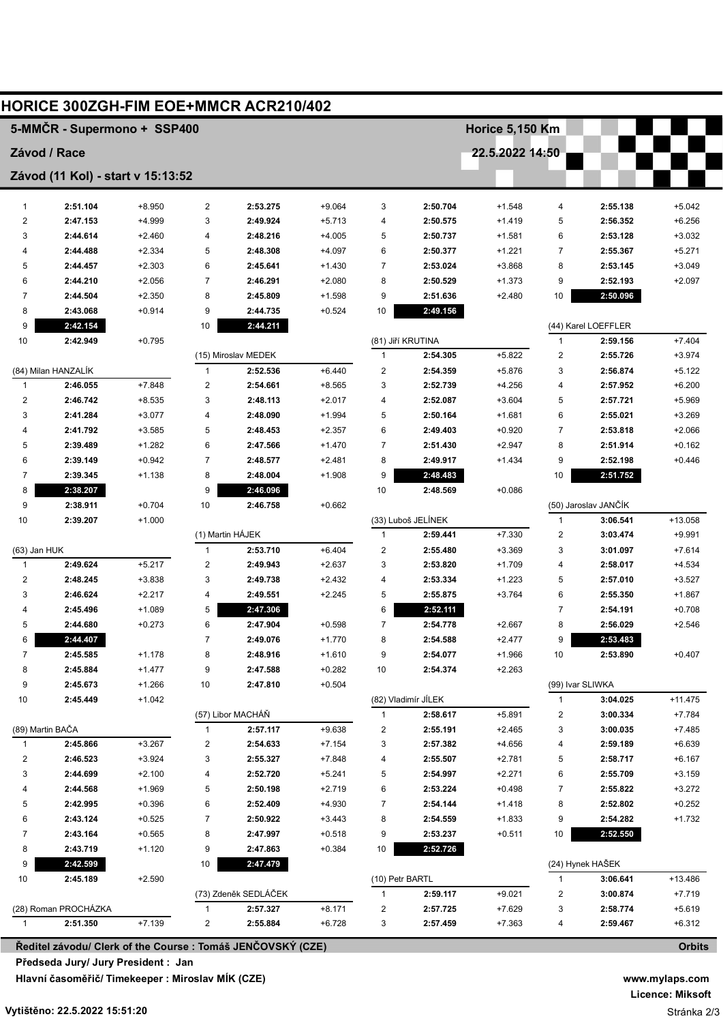|                | <b>HORICE 300ZGH-FIM EOE+MMCR ACR210/402</b>                |                      |                |                      |          |                         |                      |                 |                         |                      |                      |
|----------------|-------------------------------------------------------------|----------------------|----------------|----------------------|----------|-------------------------|----------------------|-----------------|-------------------------|----------------------|----------------------|
|                | 5-MMČR - Supermono + SSP400                                 |                      |                |                      |          |                         |                      | Horice 5,150 Km |                         |                      |                      |
|                | Závod / Race                                                |                      |                |                      |          |                         |                      | 22.5.2022 14:50 |                         |                      |                      |
|                | Závod (11 Kol) - start v 15:13:52                           |                      |                |                      |          |                         |                      |                 |                         |                      |                      |
| $\mathbf{1}$   | 2:51.104                                                    | $+8.950$             | $\overline{2}$ | 2:53.275             | $+9.064$ | 3                       | 2:50.704             | $+1.548$        | 4                       | 2:55.138             | $+5.042$             |
| 2              | 2:47.153                                                    | +4.999               | 3              | 2:49.924             | $+5.713$ | 4                       | 2:50.575             | $+1.419$        | 5                       | 2:56.352             | $+6.256$             |
| 3              | 2:44.614                                                    | $+2.460$             | 4              | 2:48.216             | $+4.005$ | 5                       | 2:50.737             | $+1.581$        | 6                       | 2:53.128             | $+3.032$             |
| 4              | 2:44.488                                                    | $+2.334$             | 5              | 2:48.308             | $+4.097$ | 6                       | 2:50.377             | $+1.221$        | 7                       | 2:55.367             | $+5.271$             |
| 5              | 2:44.457                                                    | $+2.303$             | 6              | 2:45.641             | $+1.430$ | 7                       | 2:53.024             | $+3.868$        | 8                       | 2:53.145             | $+3.049$             |
| 6              | 2:44.210                                                    | $+2.056$             | $\overline{7}$ | 2:46.291             | $+2.080$ | 8                       | 2:50.529             | $+1.373$        | 9                       | 2:52.193             | $+2.097$             |
| 7              | 2:44.504                                                    | $+2.350$             | 8              | 2:45.809             | $+1.598$ | 9                       | 2:51.636             | $+2.480$        | 10                      | 2:50.096             |                      |
| 8              | 2:43.068                                                    | $+0.914$             | 9              | 2:44.735             | $+0.524$ | 10                      | 2:49.156             |                 |                         |                      |                      |
| 9              | 2:42.154                                                    |                      | 10             | 2:44.211             |          |                         |                      |                 |                         | (44) Karel LOEFFLER  |                      |
| 10             | 2:42.949                                                    | $+0.795$             |                |                      |          |                         | (81) Jiří KRUTINA    |                 | 1                       | 2:59.156             | $+7.404$             |
|                |                                                             |                      |                | (15) Miroslav MEDEK  |          | 1                       | 2:54.305             | $+5.822$        | $\overline{\mathbf{c}}$ | 2:55.726             | $+3.974$             |
|                | (84) Milan HANZALÍK                                         |                      | 1              | 2:52.536             | $+6.440$ | 2                       | 2:54.359             | $+5.876$        | 3                       | 2:56.874             | $+5.122$             |
| $\mathbf{1}$   | 2:46.055                                                    | $+7.848$             | $\overline{c}$ | 2:54.661             | $+8.565$ | 3                       | 2:52.739             | $+4.256$        | 4                       | 2:57.952             | $+6.200$             |
| $\overline{c}$ | 2:46.742                                                    | $+8.535$             | 3              | 2:48.113             | $+2.017$ | 4                       | 2:52.087             | $+3.604$        | 5                       | 2:57.721             | $+5.969$             |
| 3              | 2:41.284                                                    | $+3.077$             | 4              | 2:48.090             | $+1.994$ | 5                       | 2:50.164             | $+1.681$        | 6                       | 2:55.021             | $+3.269$             |
| 4              | 2:41.792                                                    | $+3.585$             | 5              | 2:48.453             | $+2.357$ | 6                       | 2:49.403             | $+0.920$        | 7                       | 2:53.818             | $+2.066$             |
| 5              | 2:39.489                                                    | $+1.282$             | 6              | 2:47.566             | $+1.470$ | 7                       | 2:51.430             | $+2.947$        | 8                       | 2:51.914             | $+0.162$             |
| 6              | 2:39.149                                                    | $+0.942$             | $\overline{7}$ | 2:48.577             | $+2.481$ | 8                       | 2:49.917             | $+1.434$        | 9                       | 2:52.198             | $+0.446$             |
| 7              | 2:39.345                                                    | $+1.138$             | 8              | 2:48.004             | $+1.908$ | 9                       | 2:48.483             |                 | 10                      | 2:51.752             |                      |
| 8              | 2:38.207                                                    |                      | 9              | 2:46.096             |          | 10                      | 2:48.569             | $+0.086$        |                         |                      |                      |
| 9              | 2:38.911                                                    | $+0.704$             | 10             | 2:46.758             | $+0.662$ |                         |                      |                 |                         | (50) Jaroslav JANČÍK |                      |
| 10             | 2:39.207                                                    | $+1.000$             |                |                      |          |                         | (33) Luboš JELÍNEK   |                 | 1                       | 3:06.541             | +13.058              |
|                |                                                             |                      |                | (1) Martin HÁJEK     |          | $\mathbf{1}$            | 2:59.441             | $+7.330$        | 2                       | 3:03.474             | $+9.991$             |
| (63) Jan HUK   |                                                             |                      | $\mathbf{1}$   | 2:53.710             | $+6.404$ | $\overline{\mathbf{c}}$ | 2:55.480             | $+3.369$        | 3                       | 3:01.097             | $+7.614$             |
| $\mathbf{1}$   | 2:49.624                                                    | $+5.217$             | $\overline{c}$ | 2:49.943             | $+2.637$ | 3                       | 2:53.820             | $+1.709$        | 4                       | 2:58.017             | $+4.534$             |
| 2              | 2:48.245                                                    | $+3.838$             | 3              | 2:49.738             | $+2.432$ | 4                       | 2:53.334             | $+1.223$        | 5                       | 2:57.010             | $+3.527$             |
| 3<br>4         | 2:46.624                                                    | $+2.217$<br>$+1.089$ | 4<br>5         | 2:49.551<br>2:47.306 | $+2.245$ | 5<br>6                  | 2:55.875<br>2:52.111 | $+3.764$        | 6<br>7                  | 2:55.350<br>2:54.191 | $+1.867$<br>$+0.708$ |
| 5              | 2:45.496<br>2:44.680                                        | $+0.273$             | 6              | 2:47.904             | $+0.598$ | 7                       | 2:54.778             | $+2.667$        | 8                       | 2:56.029             | $+2.546$             |
| 6              | 2:44.407                                                    |                      | $\overline{7}$ | 2:49.076             | $+1.770$ | 8                       | 2:54.588             | $+2.477$        | 9                       | 2:53.483             |                      |
| 7              | 2:45.585                                                    | $+1.178$             | 8              | 2:48.916             | $+1.610$ | 9                       | 2:54.077             | $+1.966$        | 10                      | 2:53.890             | $+0.407$             |
| 8              | 2:45.884                                                    | $+1.477$             | 9              | 2:47.588             | $+0.282$ | 10                      | 2:54.374             | $+2.263$        |                         |                      |                      |
| 9              | 2:45.673                                                    | $+1.266$             | 10             | 2:47.810             | $+0.504$ |                         |                      |                 |                         | (99) Ivar SLIWKA     |                      |
| 10             | 2:45.449                                                    | $+1.042$             |                |                      |          |                         | (82) Vladimír JÍLEK  |                 | $\mathbf{1}$            | 3:04.025             | $+11.475$            |
|                |                                                             |                      |                | (57) Libor MACHÁŇ    |          | 1                       | 2:58.617             | $+5.891$        | $\overline{\mathbf{c}}$ | 3:00.334             | $+7.784$             |
|                | (89) Martin BAČA                                            |                      | $\mathbf{1}$   | 2:57.117             | $+9.638$ | 2                       | 2:55.191             | $+2.465$        | 3                       | 3:00.035             | $+7.485$             |
| $\mathbf{1}$   | 2:45.866                                                    | $+3.267$             | 2              | 2:54.633             | $+7.154$ | 3                       | 2:57.382             | +4.656          | 4                       | 2:59.189             | $+6.639$             |
| 2              | 2:46.523                                                    | $+3.924$             | 3              | 2:55.327             | $+7.848$ | 4                       | 2:55.507             | $+2.781$        | 5                       | 2:58.717             | $+6.167$             |
| 3              | 2:44.699                                                    | $+2.100$             | 4              | 2:52.720             | $+5.241$ | 5                       | 2:54.997             | $+2.271$        | 6                       | 2:55.709             | $+3.159$             |
| 4              | 2:44.568                                                    | $+1.969$             | 5              | 2:50.198             | $+2.719$ | 6                       | 2:53.224             | $+0.498$        | 7                       | 2:55.822             | $+3.272$             |
| 5              | 2:42.995                                                    | $+0.396$             | 6              | 2:52.409             | $+4.930$ | 7                       | 2:54.144             | $+1.418$        | 8                       | 2:52.802             | $+0.252$             |
| 6              | 2:43.124                                                    | $+0.525$             | $\overline{7}$ | 2:50.922             | $+3.443$ | 8                       | 2:54.559             | $+1.833$        | 9                       | 2:54.282             | $+1.732$             |
| 7              | 2:43.164                                                    | $+0.565$             | 8              | 2:47.997             | $+0.518$ | 9                       | 2:53.237             | $+0.511$        | 10                      | 2:52.550             |                      |
| 8              | 2:43.719                                                    | $+1.120$             | 9              | 2:47.863             | $+0.384$ | 10                      | 2:52.726             |                 |                         |                      |                      |
| 9              | 2:42.599                                                    |                      | 10             | 2:47.479             |          |                         |                      |                 |                         | (24) Hynek HAŠEK     |                      |
| 10             | 2:45.189                                                    | $+2.590$             |                |                      |          | (10) Petr BARTL         |                      |                 | 1                       | 3:06.641             | $+13.486$            |
|                |                                                             |                      |                | (73) Zdeněk SEDLÁČEK |          |                         | 2:59.117             | $+9.021$        | 2                       | 3:00.874             | $+7.719$             |
|                | (28) Roman PROCHÁZKA                                        |                      | 1              | 2:57.327             | $+8.171$ | 2                       | 2:57.725             | $+7.629$        | 3                       | 2:58.774             | $+5.619$             |
| $\mathbf{1}$   | 2:51.350                                                    | $+7.139$             | $\overline{c}$ | 2:55.884             | $+6.728$ | 3                       | 2:57.459             | $+7.363$        | 4                       | 2:59.467             | $+6.312$             |
|                | Ředitel závodu/ Clerk of the Course : Tomáš JENČOVSKÝ (CZE) |                      |                |                      |          |                         |                      |                 |                         |                      | <b>Orbits</b>        |

**Předseda Jury/ Jury President : Jan ADÁMEK (CZE)**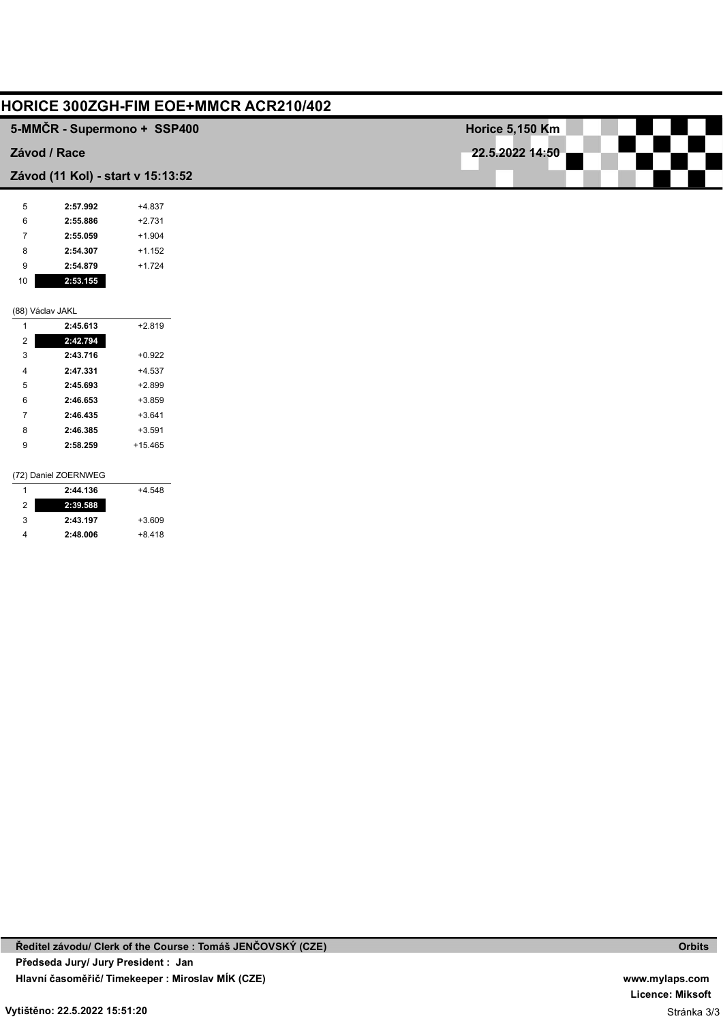|                  |                      | HORICE 300ZGH-FIM EOE+MMCR ACR210/402 |                        |
|------------------|----------------------|---------------------------------------|------------------------|
|                  |                      | 5-MMČR - Supermono + SSP400           | <b>Horice 5,150 Km</b> |
|                  | Závod / Race         |                                       | 22.5.2022 14:50        |
|                  |                      | Závod (11 Kol) - start v 15:13:52     |                        |
| 5                | 2:57.992             | $+4.837$                              |                        |
| 6                | 2:55.886             | $+2.731$                              |                        |
| 7                | 2:55.059             | $+1.904$                              |                        |
| 8                | 2:54.307             | $+1.152$                              |                        |
| 9                | 2:54.879             | $+1.724$                              |                        |
| 10               | 2:53.155             |                                       |                        |
|                  | (88) Václav JAKL     |                                       |                        |
| $\overline{1}$   | 2:45.613             | $+2.819$                              |                        |
| $\boldsymbol{2}$ | 2:42.794             |                                       |                        |
| 3                | 2:43.716             | $+0.922$                              |                        |
| 4                | 2:47.331             | $+4.537$                              |                        |
| 5                | 2:45.693             | $+2.899$                              |                        |
| 6                | 2:46.653             | $+3.859$                              |                        |
| 7                | 2:46.435             | $+3.641$                              |                        |
| 8                | 2:46.385             | $+3.591$                              |                        |
| 9                | 2:58.259             | $+15.465$                             |                        |
|                  | (72) Daniel ZOERNWEG |                                       |                        |
| $\mathbf{1}$     | 2:44.136             | $+4.548$                              |                        |
| $\boldsymbol{2}$ | 2:39.588             |                                       |                        |
| 3                | 2:43.197             | $+3.609$                              |                        |
| 4                | 2:48.006             | $+8.418$                              |                        |